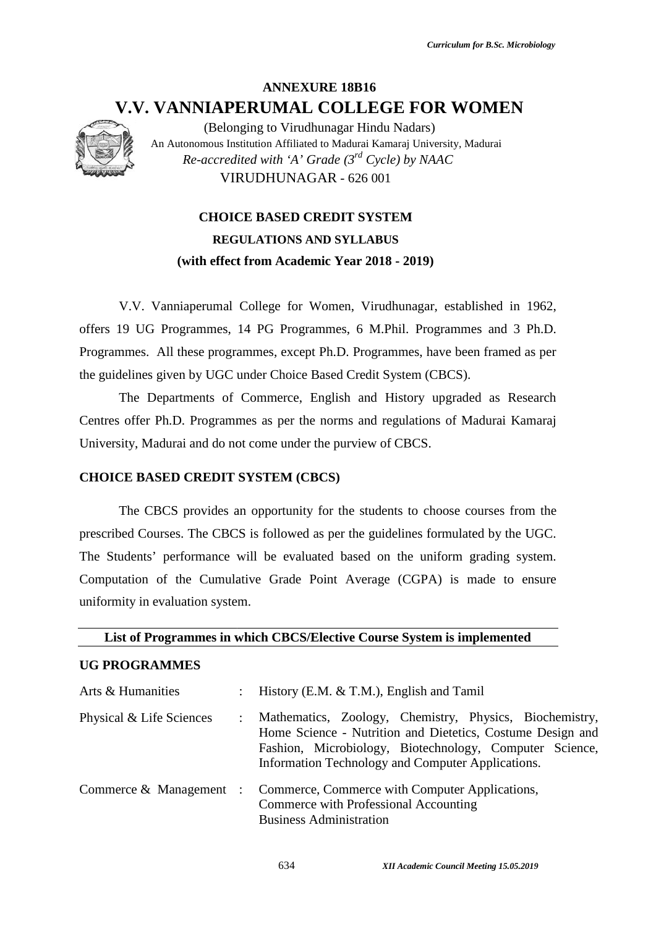# **ANNEXURE 18B16 V.V. VANNIAPERUMAL COLLEGE FOR WOMEN**



# **CHOICE BASED CREDIT SYSTEM REGULATIONS AND SYLLABUS (with effect from Academic Year 2018 - 2019)**

# **CHOICE BASED CREDIT SYSTEM (CBCS)**

#### **UG PROGRAMMES**

|                                          | <b>V.V. VANNIAPERUMAL COLLEGE FOR WOMEN</b>                                                                                                                                                                                                |
|------------------------------------------|--------------------------------------------------------------------------------------------------------------------------------------------------------------------------------------------------------------------------------------------|
|                                          | (Belonging to Virudhunagar Hindu Nadars)                                                                                                                                                                                                   |
|                                          | An Autonomous Institution Affiliated to Madurai Kamaraj University, Madurai<br>Re-accredited with 'A' Grade $3^{rd}$ Cycle) by NAAC                                                                                                        |
|                                          | VIRUDHUNAGAR - 626 001                                                                                                                                                                                                                     |
|                                          |                                                                                                                                                                                                                                            |
|                                          | <b>CHOICE BASED CREDIT SYSTEM</b>                                                                                                                                                                                                          |
|                                          | <b>REGULATIONS AND SYLLABUS</b>                                                                                                                                                                                                            |
|                                          | (with effect from Academic Year 2018 - 2019)                                                                                                                                                                                               |
|                                          | V.V. Vanniaperumal College for Women, Virudhunagar, established in 1962,                                                                                                                                                                   |
|                                          | offers 19 UG Programmes, 14 PG Programmes, 6 M.Phil. Programmes and 3 Ph.D.                                                                                                                                                                |
|                                          | Programmes. All these programmes, except Ph.D. Programmes, have been framed as per                                                                                                                                                         |
|                                          | the guidelines given by UGC under Choice Based Credit System (CBCS).                                                                                                                                                                       |
|                                          | The Departments of Commerce, English and History upgraded as Research                                                                                                                                                                      |
|                                          | Centres offer Ph.D. Programmes as per the norms and regulations of Madurai Kamaraj                                                                                                                                                         |
|                                          | University, Madurai and do not come under the purview of CBCS.                                                                                                                                                                             |
| <b>CHOICE BASED CREDIT SYSTEM (CBCS)</b> |                                                                                                                                                                                                                                            |
|                                          | The CBCS provides an opportunity for the students to choose courses from the                                                                                                                                                               |
|                                          | prescribed Courses. The CBCS is followed as per the guidelines formulated by the UGC.                                                                                                                                                      |
|                                          | The Students' performance will be evaluated based on the uniform grading system.                                                                                                                                                           |
|                                          | Computation of the Cumulative Grade Point Average (CGPA) is made to ensure                                                                                                                                                                 |
| uniformity in evaluation system.         |                                                                                                                                                                                                                                            |
|                                          | List of Programmes in which CBCS/Elective Course System is implemented                                                                                                                                                                     |
| <b>UG PROGRAMMES</b>                     |                                                                                                                                                                                                                                            |
| Arts & Humanities                        | History (E.M. & T.M.), English and Tamil                                                                                                                                                                                                   |
| Physical & Life Sciences                 | Mathematics, Zoology, Chemistry, Physics, Biochemistry,<br>÷<br>Home Science - Nutrition and Dietetics, Costume Design and<br>Fashion, Microbiology, Biotechnology, Computer Science,<br>Information Technology and Computer Applications. |
| Commerce & Management :                  | Commerce, Commerce with Computer Applications,<br>Commerce with Professional Accounting<br><b>Business Administration</b>                                                                                                                  |
|                                          | 634<br>XII Academic Council Meeting 15.05.2019                                                                                                                                                                                             |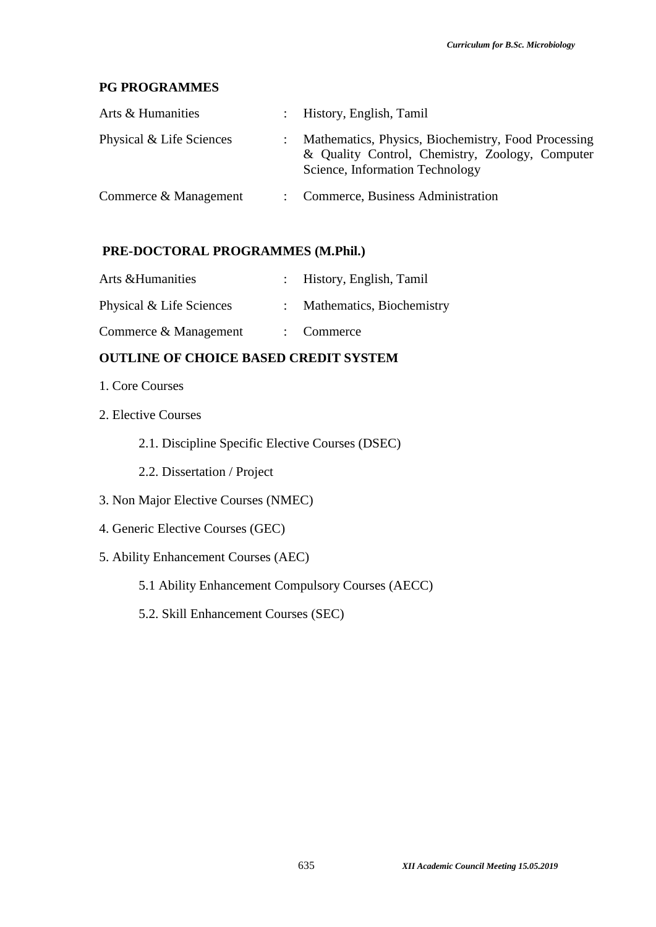# **PG PROGRAMMES**

| Arts & Humanities        | : History, English, Tamil                                                                                                                 |
|--------------------------|-------------------------------------------------------------------------------------------------------------------------------------------|
| Physical & Life Sciences | Mathematics, Physics, Biochemistry, Food Processing<br>& Quality Control, Chemistry, Zoology, Computer<br>Science, Information Technology |
| Commerce & Management    | : Commerce, Business Administration                                                                                                       |

# **PRE-DOCTORAL PROGRAMMES (M.Phil.)**

| Arts & Humanities        | : History, English, Tamil   |
|--------------------------|-----------------------------|
| Physical & Life Sciences | : Mathematics, Biochemistry |
| Commerce & Management    | $\therefore$ Commerce       |

# **OUTLINE OF CHOICE BASED CREDIT SYSTEM**

- 1. Core Courses
- 2. Elective Courses
	- 2.1. Discipline Specific Elective Courses (DSEC)
	- 2.2. Dissertation / Project
- 3. Non Major Elective Courses (NMEC)
- 4. Generic Elective Courses (GEC)
- 5. Ability Enhancement Courses (AEC)
	- 5.1 Ability Enhancement Compulsory Courses (AECC)
	- 5.2. Skill Enhancement Courses (SEC)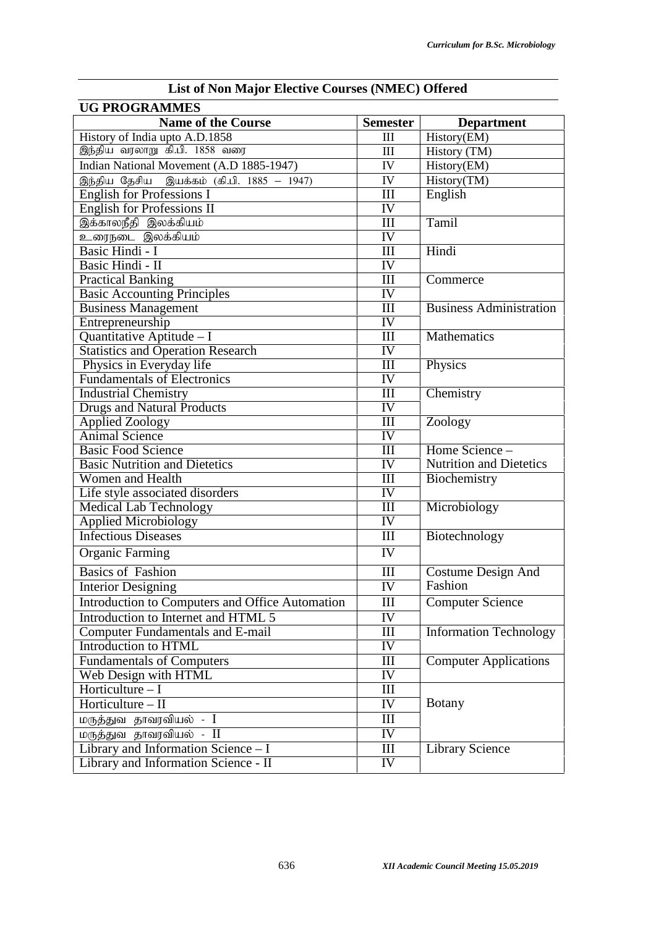| <b>UG PROGRAMMES</b>                            |                  |                                |  |
|-------------------------------------------------|------------------|--------------------------------|--|
| <b>Name of the Course</b>                       | <b>Semester</b>  | <b>Department</b>              |  |
| History of India upto A.D.1858                  | III              | History(EM)                    |  |
| இந்திய வரலாறு கி.பி. 1858 வரை                   | III              | History (TM)                   |  |
| Indian National Movement (A.D 1885-1947)        | IV               | History(EM)                    |  |
| இந்திய தேசிய இயக்கம் (கி.பி. 1885 – 1947)       | IV               | History(TM)                    |  |
| <b>English for Professions I</b>                | III              | English                        |  |
| <b>English for Professions II</b>               | IV               |                                |  |
| இக்காலநீதி இலக்கியம்                            | III              | Tamil                          |  |
| உரைநடை இலக்கியம்                                | IV               |                                |  |
| Basic Hindi - I                                 | III              | Hindi                          |  |
| Basic Hindi - II                                | IV               |                                |  |
| <b>Practical Banking</b>                        | III              | Commerce                       |  |
| <b>Basic Accounting Principles</b>              | IV               |                                |  |
| <b>Business Management</b>                      | $\overline{III}$ | <b>Business Administration</b> |  |
| Entrepreneurship                                | IV               |                                |  |
| Quantitative Aptitude - I                       | III              | Mathematics                    |  |
| <b>Statistics and Operation Research</b>        | IV               |                                |  |
| Physics in Everyday life                        | III              | Physics                        |  |
| <b>Fundamentals of Electronics</b>              | IV               |                                |  |
| <b>Industrial Chemistry</b>                     | $\overline{III}$ | Chemistry                      |  |
| <b>Drugs and Natural Products</b>               | IV<br>III        |                                |  |
| <b>Applied Zoology</b><br><b>Animal Science</b> | IV               | Zoology                        |  |
| <b>Basic Food Science</b>                       | III              | Home Science -                 |  |
| <b>Basic Nutrition and Dietetics</b>            | IV               | <b>Nutrition and Dietetics</b> |  |
| <b>Women and Health</b>                         | Ш                | Biochemistry                   |  |
| Life style associated disorders                 | IV               |                                |  |
| <b>Medical Lab Technology</b>                   | III              | Microbiology                   |  |
| <b>Applied Microbiology</b>                     | IV               |                                |  |
| <b>Infectious Diseases</b>                      | Ш                | Biotechnology                  |  |
| <b>Organic Farming</b>                          | IV               |                                |  |
| <b>Basics of Fashion</b>                        |                  |                                |  |
|                                                 | III              | Costume Design And<br>Fashion  |  |
| <b>Interior Designing</b>                       | ${\rm IV}$       |                                |  |
| Introduction to Computers and Office Automation | Ш                | <b>Computer Science</b>        |  |
| Introduction to Internet and HTML 5             | IV               |                                |  |
| Computer Fundamentals and E-mail                | III              | <b>Information Technology</b>  |  |
| Introduction to HTML                            | IV               |                                |  |
| <b>Fundamentals of Computers</b>                | III              | <b>Computer Applications</b>   |  |
| Web Design with HTML                            | IV               |                                |  |
| Horticulture $-1$                               | Ш                |                                |  |
| Horticulture $-$ II                             | IV               | <b>Botany</b>                  |  |
| மருத்துவ தாவரவியல் - I                          | III              |                                |  |
| மருத்துவ தாவரவியல் - II                         | IV               |                                |  |
| Library and Information Science - I             | III              | <b>Library Science</b>         |  |
| Library and Information Science - II            | IV               |                                |  |

# **List of Non Major Elective Courses (NMEC) Offered**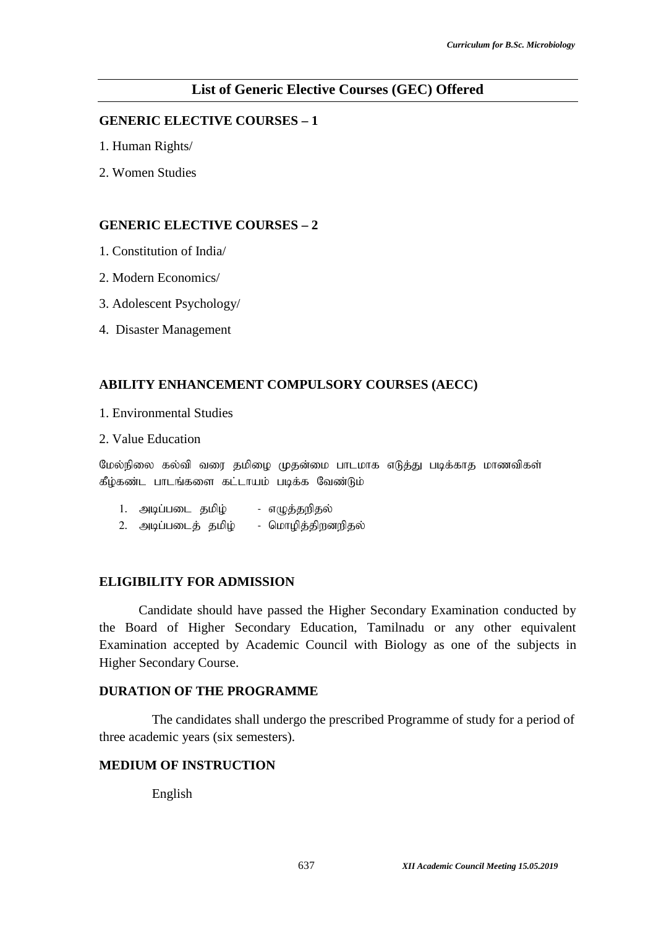# **List of Generic Elective Courses (GEC) Offered**

#### **GENERIC ELECTIVE COURSES – 1**

- 1. Human Rights/
- 2. Women Studies

#### **GENERIC ELECTIVE COURSES – 2**

- 1. Constitution of India/
- 2. Modern Economics/
- 3. Adolescent Psychology/
- 4. Disaster Management

# **ABILITY ENHANCEMENT COMPULSORY COURSES (AECC)**

- 1. Environmental Studies
- 2. Value Education

மேல்நிலை கல்வி வரை தமிழை முதன்மை பாடமாக எடுத்து படிக்காத மாணவிகள் கீழ்கண்ட பாடங்களை கட்டாயம் படிக்க வேண்டும்

- 1. அடிப்படை தமிழ் - எழுத்தறிதல்
- 2. அடிப்படைக் கமிழ் மொழிக்கிறனறிகல்

#### **ELIGIBILITY FOR ADMISSION**

Candidate should have passed the Higher Secondary Examination conducted by the Board of Higher Secondary Education, Tamilnadu or any other equivalent Examination accepted by Academic Council with Biology as one of the subjects in Higher Secondary Course.

#### **DURATION OF THE PROGRAMME**

The candidates shall undergo the prescribed Programme of study for a period of three academic years (six semesters).

# **MEDIUM OF INSTRUCTION**

English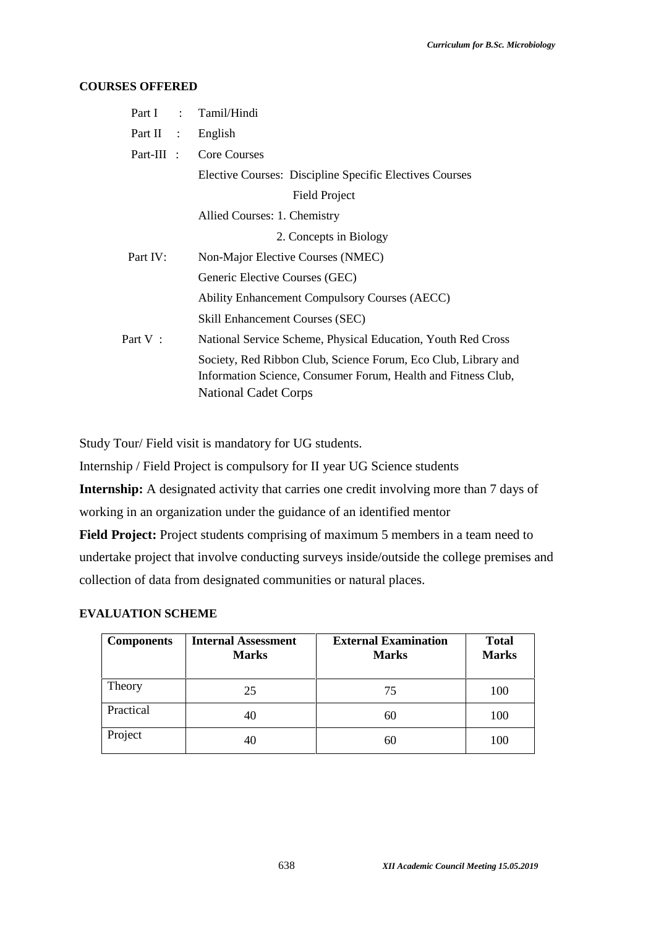#### **COURSES OFFERED**

| Part I :   | Tamil/Hindi                                                                                                                                                    |
|------------|----------------------------------------------------------------------------------------------------------------------------------------------------------------|
| Part II :  | English                                                                                                                                                        |
| Part-III : | <b>Core Courses</b>                                                                                                                                            |
|            | Elective Courses: Discipline Specific Electives Courses                                                                                                        |
|            | <b>Field Project</b>                                                                                                                                           |
|            | Allied Courses: 1. Chemistry                                                                                                                                   |
|            | 2. Concepts in Biology                                                                                                                                         |
| Part IV:   | Non-Major Elective Courses (NMEC)                                                                                                                              |
|            | Generic Elective Courses (GEC)                                                                                                                                 |
|            | <b>Ability Enhancement Compulsory Courses (AECC)</b>                                                                                                           |
|            | <b>Skill Enhancement Courses (SEC)</b>                                                                                                                         |
| Part V:    | National Service Scheme, Physical Education, Youth Red Cross                                                                                                   |
|            | Society, Red Ribbon Club, Science Forum, Eco Club, Library and<br>Information Science, Consumer Forum, Health and Fitness Club,<br><b>National Cadet Corps</b> |

Study Tour/ Field visit is mandatory for UG students.

Internship / Field Project is compulsory for II year UG Science students

**Internship:** A designated activity that carries one credit involving more than 7 days of working in an organization under the guidance of an identified mentor

**Field Project:** Project students comprising of maximum 5 members in a team need to undertake project that involve conducting surveys inside/outside the college premises and collection of data from designated communities or natural places.

## **EVALUATION SCHEME**

| <b>Components</b> | <b>Internal Assessment</b><br><b>Marks</b> | <b>External Examination</b><br><b>Marks</b> | <b>Total</b><br><b>Marks</b> |
|-------------------|--------------------------------------------|---------------------------------------------|------------------------------|
| Theory            | 25                                         | 75                                          | 100                          |
| Practical         | 40                                         | 60                                          | 100                          |
| Project           | 40                                         | 60                                          | 100                          |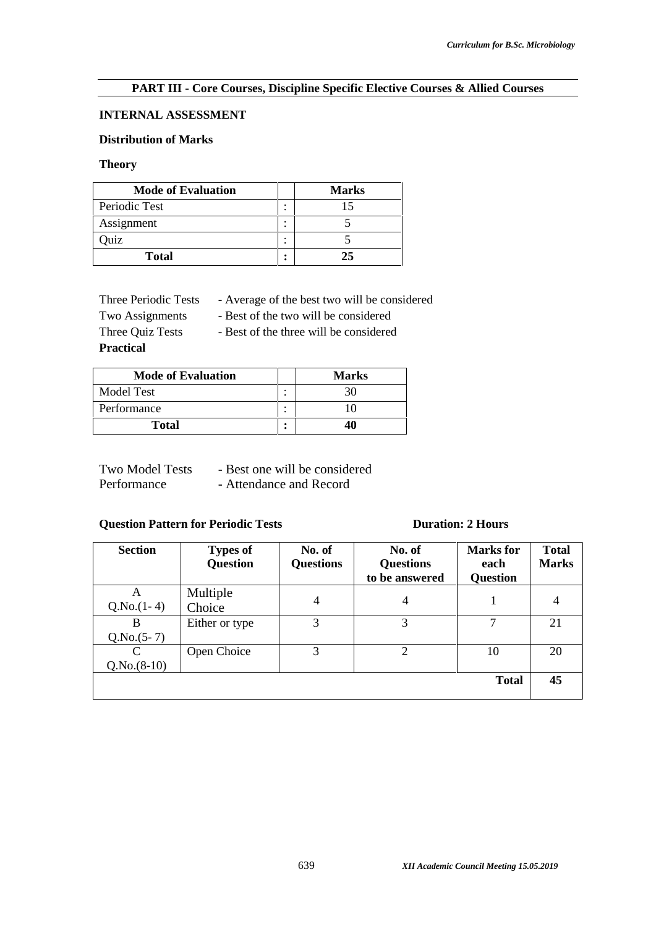#### **PART III - Core Courses, Discipline Specific Elective Courses & Allied Courses**

#### **INTERNAL ASSESSMENT**

#### **Distribution of Marks**

#### **Theory**

| <b>Mode of Evaluation</b> |                               | <b>Marks</b> |
|---------------------------|-------------------------------|--------------|
| Periodic Test             | ٠<br>٠                        |              |
| Assignment                | ٠<br>$\overline{\phantom{a}}$ |              |
| )uiz                      | ٠<br>٠                        |              |
| <b>Total</b>              | ٠<br>٠                        | クミ           |

| Three Periodic Tests | - Average of the best two will be considered |
|----------------------|----------------------------------------------|
|----------------------|----------------------------------------------|

Two Assignments - Best of the two will be considered

Three Quiz Tests - Best of the three will be considered **Practical**

| <b>Mode of Evaluation</b> |         | <b>Marks</b> |
|---------------------------|---------|--------------|
| Model Test                |         |              |
| Performance               | $\cdot$ |              |
| <b>Total</b>              |         | 40           |

| <b>Two Model Tests</b> | - Best one will be considered |
|------------------------|-------------------------------|
| Performance            | - Attendance and Record       |

## **Question Pattern for Periodic Tests Duration: 2 Hours**

| <b>Section</b>     | <b>Types of</b><br><b>Question</b> | No. of<br><b>Questions</b> | No. of<br><b>Questions</b><br>to be answered | <b>Marks</b> for<br>each<br><b>Question</b> | <b>Total</b><br><b>Marks</b> |
|--------------------|------------------------------------|----------------------------|----------------------------------------------|---------------------------------------------|------------------------------|
| А<br>$Q.No.(1-4)$  | Multiple<br>Choice                 | $\overline{4}$             | 4                                            |                                             | 4                            |
| B<br>$Q.No.(5-7)$  | Either or type                     | 3                          | 3                                            | 7                                           | 21                           |
| C<br>$Q.No.(8-10)$ | Open Choice                        | 3                          | 2                                            | 10                                          | 20                           |
|                    |                                    |                            |                                              | <b>Total</b>                                | 45                           |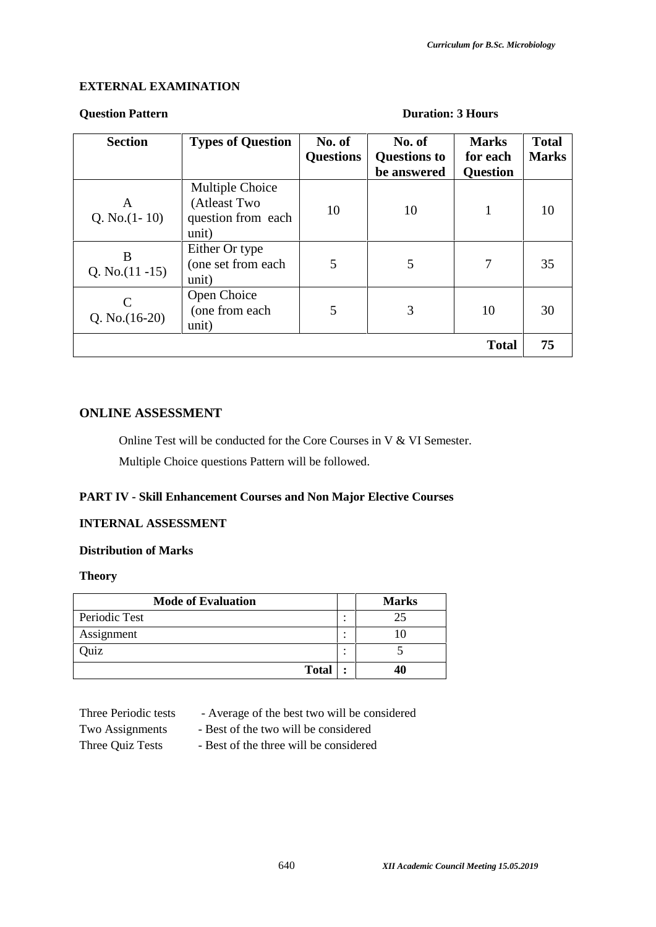#### **EXTERNAL EXAMINATION**

#### **Question Pattern Duration: 3 Hours**

| <b>Section</b>          | <b>Types of Question</b>                                       | No. of<br><b>Questions</b> | No. of<br><b>Questions to</b><br>be answered | <b>Marks</b><br>for each<br><b>Question</b> | <b>Total</b><br><b>Marks</b> |
|-------------------------|----------------------------------------------------------------|----------------------------|----------------------------------------------|---------------------------------------------|------------------------------|
| A<br>Q. No. $(1-10)$    | Multiple Choice<br>(Atleast Two<br>question from each<br>unit) | 10                         | 10                                           | 1                                           | 10                           |
| B<br>Q. No. $(11 - 15)$ | Either Or type<br>(one set from each<br>unit)                  | 5                          | 5                                            | $\overline{7}$                              | 35                           |
| C<br>Q. No. $(16-20)$   | Open Choice<br>(one from each<br>unit)                         | 5                          | 3                                            | 10                                          | 30                           |
|                         |                                                                |                            |                                              | <b>Total</b>                                | 75                           |

## **ONLINE ASSESSMENT**

Online Test will be conducted for the Core Courses in V & VI Semester. Multiple Choice questions Pattern will be followed.

#### **PART IV - Skill Enhancement Courses and Non Major Elective Courses**

#### **INTERNAL ASSESSMENT**

#### **Distribution of Marks**

#### **Theory**

| <b>Mode of Evaluation</b> |   | <b>Marks</b> |
|---------------------------|---|--------------|
| Periodic Test             | ٠ | 25           |
| Assignment                | ٠ | 10           |
| Quiz                      | ٠ |              |
| <b>Total</b>              |   | 40           |

- Three Periodic tests Average of the best two will be considered
- Two Assignments Best of the two will be considered

Three Quiz Tests - Best of the three will be considered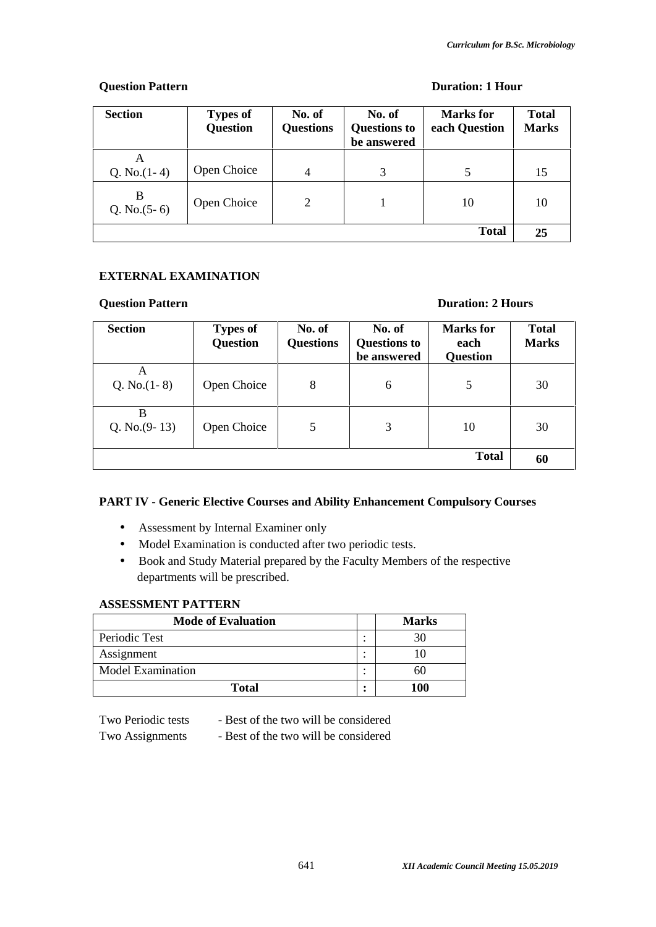#### **Question Pattern Duration: 1 Hour**

| <b>Section</b>      | <b>Types of</b><br><b>Question</b> | No. of<br><b>Questions</b> | No. of<br><b>Questions to</b><br>be answered | Marks for<br>each Question | <b>Total</b><br><b>Marks</b> |
|---------------------|------------------------------------|----------------------------|----------------------------------------------|----------------------------|------------------------------|
| A<br>Q. No. $(1-4)$ | Open Choice                        | $\overline{4}$             | 3                                            |                            | 15                           |
| B<br>Q. No. $(5-6)$ | Open Choice                        | $\overline{2}$             |                                              | 10                         | 10                           |
|                     |                                    |                            |                                              | <b>Total</b>               | 25                           |

# **EXTERNAL EXAMINATION**

## **Question Pattern Duration: 2 Hours**

| <b>Section</b>       | <b>Types of</b><br><b>Question</b> | No. of<br><b>Questions</b> | No. of<br><b>Questions to</b><br>be answered | Marks for<br>each<br><b>Question</b> | <b>Total</b><br><b>Marks</b> |
|----------------------|------------------------------------|----------------------------|----------------------------------------------|--------------------------------------|------------------------------|
| Α<br>Q. No. $(1-8)$  | Open Choice                        | 8                          | 6                                            | 5                                    | 30                           |
| B<br>Q. No. $(9-13)$ | Open Choice                        | 5                          | 3                                            | 10                                   | 30                           |
|                      |                                    |                            |                                              | <b>Total</b>                         | 60                           |

#### **PART IV - Generic Elective Courses and Ability Enhancement Compulsory Courses**

- Assessment by Internal Examiner only
- Model Examination is conducted after two periodic tests.
- Book and Study Material prepared by the Faculty Members of the respective departments will be prescribed.

## **ASSESSMENT PATTERN**

| <b>Mode of Evaluation</b> | <b>Marks</b> |
|---------------------------|--------------|
| Periodic Test             | 30           |
| Assignment                |              |
| Model Examination         | 60           |
| <b>Total</b>              | 100          |

Two Periodic tests - Best of the two will be considered

Two Assignments - Best of the two will be considered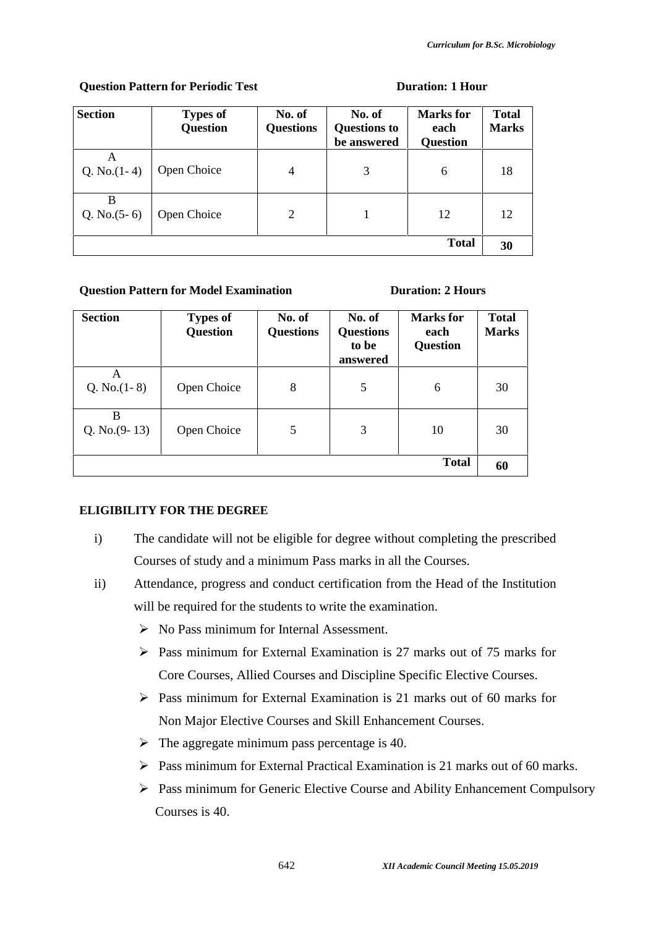| <b>Section</b>      | <b>Types of</b><br><b>Question</b> | No. of<br><b>Questions</b> | No. of<br><b>Questions to</b><br>be answered | <b>Marks</b> for<br>each<br><b>Question</b> | <b>Total</b><br><b>Marks</b> |
|---------------------|------------------------------------|----------------------------|----------------------------------------------|---------------------------------------------|------------------------------|
| A<br>Q. No. $(1-4)$ | Open Choice                        | $\overline{4}$             | 3                                            | 6                                           | 18                           |
| B<br>Q. No. $(5-6)$ | Open Choice                        | 2                          |                                              | 12                                          | 12                           |
|                     |                                    |                            |                                              | <b>Total</b>                                | 30                           |

#### **Question Pattern for Periodic Test Duration: 1 Hour**

#### **Question Pattern for Model Examination Duration:** 2 Hours

| <b>Section</b>       | <b>Types of</b><br><b>Question</b> | No. of<br><b>Questions</b> | No. of<br><b>Questions</b><br>to be<br>answered | <b>Marks</b> for<br>each<br><b>Question</b> | <b>Total</b><br><b>Marks</b> |
|----------------------|------------------------------------|----------------------------|-------------------------------------------------|---------------------------------------------|------------------------------|
| A<br>Q. No. $(1-8)$  | Open Choice                        | 8                          | 5                                               | 6                                           | 30                           |
| B<br>Q. No. $(9-13)$ | Open Choice                        | 5                          | 3                                               | 10                                          | 30                           |
|                      |                                    |                            |                                                 | <b>Total</b>                                | 60                           |

#### **ELIGIBILITY FOR THE DEGREE**

- i) The candidate will not be eligible for degree without completing the prescribed Courses of study and a minimum Pass marks in all the Courses.
- ii) Attendance, progress and conduct certification from the Head of the Institution will be required for the students to write the examination.
	- $\triangleright$  No Pass minimum for Internal Assessment.
	- $\triangleright$  Pass minimum for External Examination is 27 marks out of 75 marks for Core Courses, Allied Courses and Discipline Specific Elective Courses.
	- $\triangleright$  Pass minimum for External Examination is 21 marks out of 60 marks for Non Major Elective Courses and Skill Enhancement Courses.
	- $\triangleright$  The aggregate minimum pass percentage is 40.
	- $\triangleright$  Pass minimum for External Practical Examination is 21 marks out of 60 marks.
	- Pass minimum for Generic Elective Course and Ability Enhancement Compulsory Courses is 40.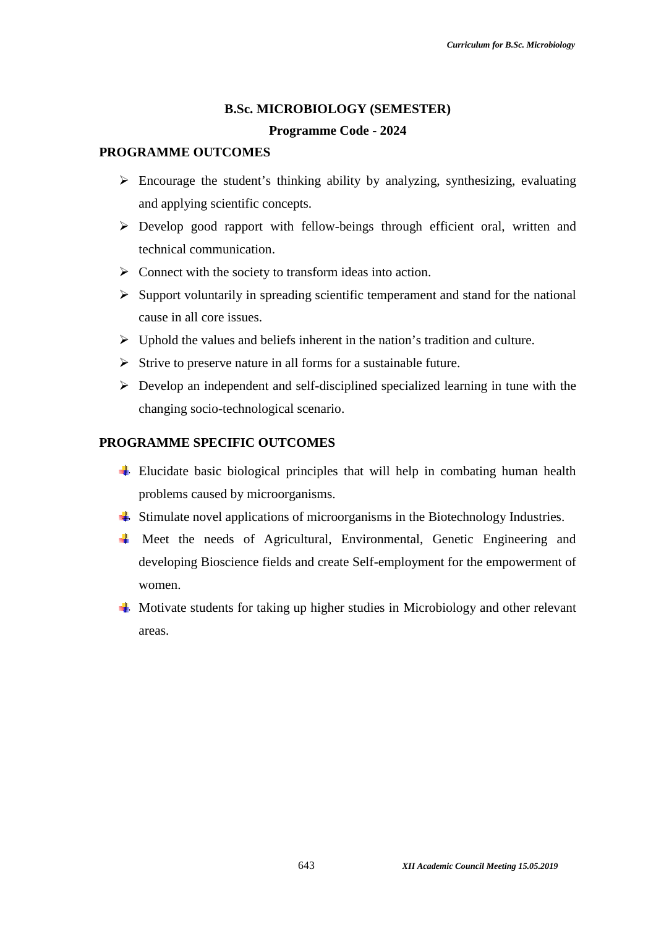#### **B.Sc. MICROBIOLOGY (SEMESTER)**

#### **Programme Code - 2024**

#### **PROGRAMME OUTCOMES**

- $\triangleright$  Encourage the student's thinking ability by analyzing, synthesizing, evaluating and applying scientific concepts.
- $\triangleright$  Develop good rapport with fellow-beings through efficient oral, written and technical communication.
- $\triangleright$  Connect with the society to transform ideas into action.
- $\triangleright$  Support voluntarily in spreading scientific temperament and stand for the national cause in all core issues.
- $\triangleright$  Uphold the values and beliefs inherent in the nation's tradition and culture.
- $\triangleright$  Strive to preserve nature in all forms for a sustainable future.
- $\triangleright$  Develop an independent and self-disciplined specialized learning in tune with the changing socio-technological scenario.

#### **PROGRAMME SPECIFIC OUTCOMES**

- $\overline{\text{H}}$  Elucidate basic biological principles that will help in combating human health problems caused by microorganisms.
- $\overline{\phantom{a}}$  Stimulate novel applications of microorganisms in the Biotechnology Industries.
- Meet the needs of Agricultural, Environmental, Genetic Engineering and developing Bioscience fields and create Self-employment for the empowerment of women.
- $\pm$  Motivate students for taking up higher studies in Microbiology and other relevant areas.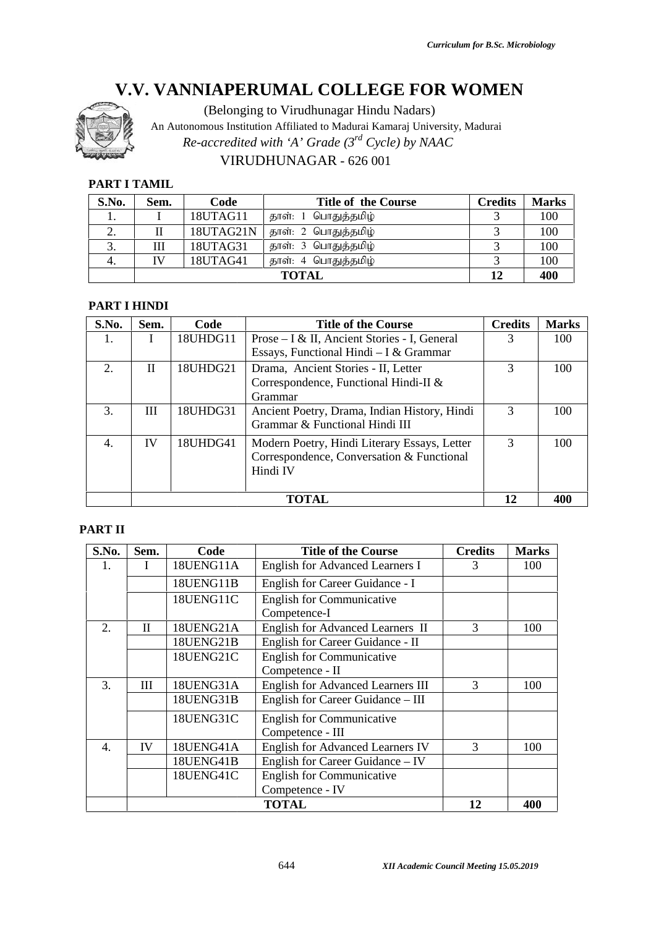

#### **PART I TAMIL**

| S.No. | Sem.         | Code      | <b>Title of the Course</b> | <b>Credits</b> | <b>Marks</b> |
|-------|--------------|-----------|----------------------------|----------------|--------------|
|       |              | 18UTAG11  | தாள்: 1 பொதுத்தமிழ்        |                | 100          |
| ۷.    |              | 18UTAG21N | தாள்: 2 பொதுத்தமிழ்        |                | 100          |
| J.    | Ш            | 18UTAG31  | தாள்: 3 பொதுத்தமிழ்        |                | 100          |
| 4.    | IV           | 18UTAG41  | தாள்: 4 பொதுத்தமிழ்        |                | 100          |
|       | <b>TOTAL</b> |           |                            |                | 400          |

## **PART I HINDI**

| S.No. | Sem.         | Code     | <b>Title of the Course</b>                                                                            | <b>Credits</b> | <b>Marks</b> |
|-------|--------------|----------|-------------------------------------------------------------------------------------------------------|----------------|--------------|
| 1.    |              | 18UHDG11 | Prose – I & II, Ancient Stories - I, General                                                          | 3              | 100          |
|       |              |          | Essays, Functional Hindi – I & Grammar                                                                |                |              |
| 2.    | $\mathbf{I}$ | 18UHDG21 | Drama, Ancient Stories - II, Letter                                                                   | 3              | 100          |
|       |              |          | Correspondence, Functional Hindi-II &<br>Grammar                                                      |                |              |
| 3.    | Ш            | 18UHDG31 | Ancient Poetry, Drama, Indian History, Hindi<br>Grammar & Functional Hindi III                        | 3              | 100          |
| 4.    | IV           | 18UHDG41 | Modern Poetry, Hindi Literary Essays, Letter<br>Correspondence, Conversation & Functional<br>Hindi IV | 3              | 100          |
|       |              |          | <b>TOTAL</b>                                                                                          | 12             | 400          |

## **PART II**

|          |                                    |                       | Re-accredited with 'A' Grade $(3^{rd}$ Cycle) by NAAC                        |                |                |              |
|----------|------------------------------------|-----------------------|------------------------------------------------------------------------------|----------------|----------------|--------------|
|          |                                    |                       | VIRUDHUNAGAR - 626 001                                                       |                |                |              |
|          | PART I TAMIL                       |                       |                                                                              |                |                |              |
| S.No.    | Sem.                               | Code                  | <b>Title of the Course</b>                                                   |                | <b>Credits</b> | <b>Marks</b> |
| 1.       | I                                  | 18UTAG11              | தாள்: 1 பொதுத்தமிழ்                                                          |                | 3              | 100          |
| 2.<br>3. | $\mathbf{I}$<br>$\mathop{\rm III}$ | 18UTAG21N<br>18UTAG31 | தாள்: 2 பொதுத்தமிழ்<br>தாள்: 3 பொதுத்தமிழ்                                   |                | 3<br>3         | 100<br>100   |
| 4.       | IV                                 | 18UTAG41              | தாள்: 4 பொதுத்தமிழ்                                                          |                | 3              | 100          |
|          |                                    |                       | <b>TOTAL</b>                                                                 |                | 12             | 400          |
|          |                                    |                       |                                                                              |                |                |              |
|          | PART I HINDI                       |                       |                                                                              |                |                |              |
| S.No.    | Sem.                               | Code                  | <b>Title of the Course</b>                                                   |                | <b>Credits</b> | <b>Marks</b> |
| 1.       | I                                  | 18UHDG11              | Prose - I & II, Ancient Stories - I, General                                 |                | 3              | 100          |
|          |                                    |                       | Essays, Functional Hindi - I & Grammar                                       |                |                |              |
| 2.       | $\mathbf{I}$                       | 18UHDG21              | Drama, Ancient Stories - II, Letter<br>Correspondence, Functional Hindi-II & |                | 3              | 100          |
|          |                                    |                       | Grammar                                                                      |                |                |              |
| 3.       | III                                | 18UHDG31              | Ancient Poetry, Drama, Indian History, Hindi                                 |                | 3              | 100          |
|          |                                    |                       | Grammar & Functional Hindi III                                               |                |                |              |
| 4.       | IV                                 | 18UHDG41              | Modern Poetry, Hindi Literary Essays, Letter                                 |                | 3              | 100          |
|          |                                    |                       | Correspondence, Conversation & Functional                                    |                |                |              |
|          |                                    |                       | Hindi IV                                                                     |                |                |              |
|          |                                    |                       | <b>TOTAL</b>                                                                 |                | 12             | 400          |
|          |                                    |                       |                                                                              |                |                |              |
| PART II  |                                    |                       |                                                                              |                |                |              |
| S.No.    | Sem.                               | Code                  | <b>Title of the Course</b>                                                   | <b>Credits</b> |                | <b>Marks</b> |
| 1.       | I                                  | 18UENG11A             | <b>English for Advanced Learners I</b>                                       | 3              |                | 100          |
|          |                                    | 18UENG11B             | English for Career Guidance - I                                              |                |                |              |
|          |                                    | 18UENG11C             | <b>English for Communicative</b>                                             |                |                |              |
|          |                                    |                       | Competence-I                                                                 |                |                |              |
| 2.       | $\mathbf{I}$                       | 18UENG21A             | English for Advanced Learners II                                             | 3              |                | 100          |
|          |                                    | 18UENG21B             | English for Career Guidance - II                                             |                |                |              |
|          |                                    | 18UENG21C             | <b>English for Communicative</b><br>Competence - II                          |                |                |              |
| 3.       | III                                | 18UENG31A             | <b>English for Advanced Learners III</b>                                     | 3              |                | 100          |
|          |                                    | 18UENG31B             | English for Career Guidance - III                                            |                |                |              |
|          |                                    | 18UENG31C             | <b>English for Communicative</b>                                             |                |                |              |
|          |                                    |                       | Competence - III                                                             |                |                |              |
| 4.       | IV                                 | 18UENG41A             | English for Advanced Learners IV                                             | 3              |                | 100          |
|          |                                    | 18UENG41B             | English for Career Guidance - IV                                             |                |                |              |
|          |                                    | 18UENG41C             | <b>English for Communicative</b>                                             |                |                |              |
|          |                                    |                       | Competence - IV                                                              |                |                |              |
|          |                                    |                       | <b>TOTAL</b>                                                                 | 12             |                | 400          |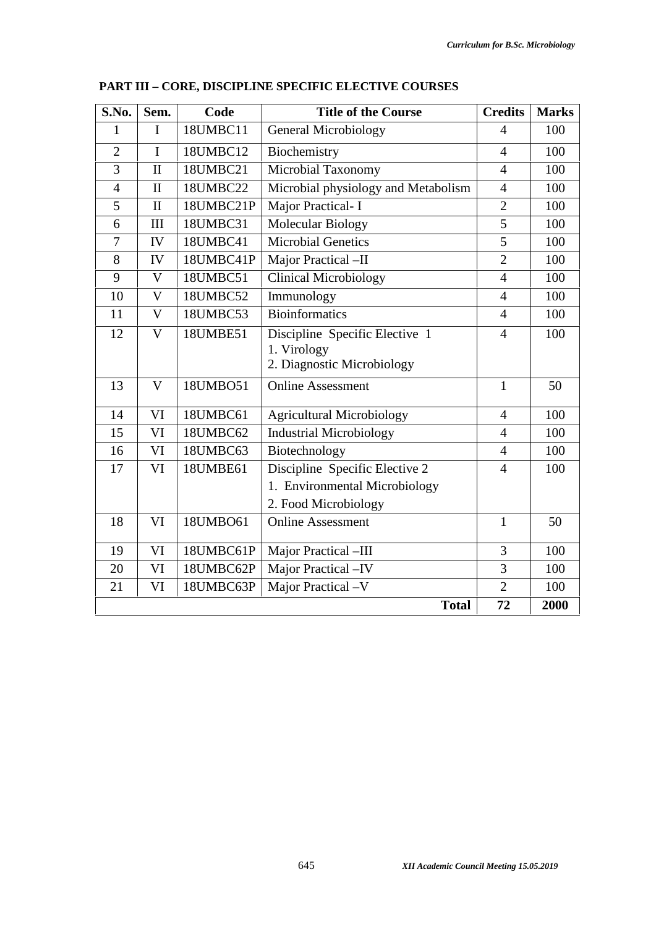| S.No.          | Sem.                    | Code      | <b>Title of the Course</b>                                                              | <b>Credits</b> | <b>Marks</b> |
|----------------|-------------------------|-----------|-----------------------------------------------------------------------------------------|----------------|--------------|
| $\mathbf{1}$   | I                       | 18UMBC11  | <b>General Microbiology</b>                                                             | $\overline{4}$ | 100          |
| $\overline{2}$ | $\mathbf I$             | 18UMBC12  | Biochemistry                                                                            | $\overline{4}$ | 100          |
| 3              | $\mathbf{I}$            | 18UMBC21  | Microbial Taxonomy                                                                      | $\overline{4}$ | 100          |
| $\overline{4}$ | $\mathbf{I}$            | 18UMBC22  | Microbial physiology and Metabolism                                                     | $\overline{4}$ | 100          |
| 5              | $\mathbf{I}$            | 18UMBC21P | Major Practical- I                                                                      | $\overline{2}$ | 100          |
| 6              | III                     | 18UMBC31  | <b>Molecular Biology</b>                                                                | 5              | 100          |
| $\overline{7}$ | IV                      | 18UMBC41  | <b>Microbial Genetics</b>                                                               | 5              | 100          |
| 8              | IV                      | 18UMBC41P | Major Practical -II                                                                     | $\overline{2}$ | 100          |
| 9              | $\mathbf V$             | 18UMBC51  | <b>Clinical Microbiology</b>                                                            | $\overline{4}$ | 100          |
| 10             | $\mathbf{V}$            | 18UMBC52  | Immunology                                                                              | $\overline{4}$ | 100          |
| 11             | $\mathbf{V}$            | 18UMBC53  | <b>Bioinformatics</b>                                                                   | $\overline{4}$ | 100          |
| 12             | $\overline{\mathsf{V}}$ | 18UMBE51  | Discipline Specific Elective 1<br>1. Virology<br>2. Diagnostic Microbiology             | $\overline{4}$ | 100          |
| 13             | $\mathbf{V}$            | 18UMB051  | <b>Online Assessment</b>                                                                | $\mathbf{1}$   | 50           |
| 14             | VI                      | 18UMBC61  | <b>Agricultural Microbiology</b>                                                        | $\overline{4}$ | 100          |
| 15             | VI                      | 18UMBC62  | <b>Industrial Microbiology</b>                                                          | $\overline{4}$ | 100          |
| 16             | VI                      | 18UMBC63  | Biotechnology                                                                           | $\overline{4}$ | 100          |
| 17             | VI                      | 18UMBE61  | Discipline Specific Elective 2<br>1. Environmental Microbiology<br>2. Food Microbiology | $\overline{4}$ | 100          |
| 18             | VI                      | 18UMBO61  | <b>Online Assessment</b>                                                                | $\mathbf{1}$   | 50           |
| 19             | VI                      | 18UMBC61P | Major Practical -III                                                                    | 3              | 100          |
| 20             | VI                      | 18UMBC62P | Major Practical -IV                                                                     | $\overline{3}$ | 100          |
| 21             | VI                      | 18UMBC63P | Major Practical -V                                                                      | $\overline{2}$ | 100          |
|                |                         |           | <b>Total</b>                                                                            | 72             | 2000         |

# **PART III – CORE, DISCIPLINE SPECIFIC ELECTIVE COURSES**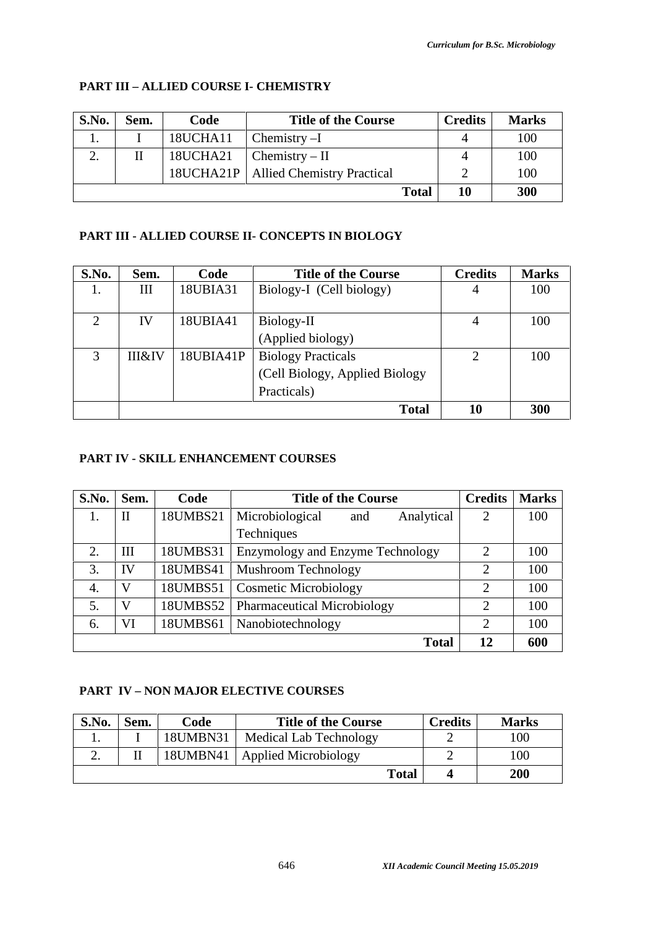# **PART III – ALLIED COURSE I- CHEMISTRY**

| S.No. | Sem. | Code     | <b>Title of the Course</b>             | <b>Credits</b> | <b>Marks</b> |
|-------|------|----------|----------------------------------------|----------------|--------------|
|       |      | 18UCHA11 | Chemistry $-I$                         |                | 100          |
|       |      | 18UCHA21 | $Chemistry - II$                       |                | 100          |
|       |      |          | 18UCHA21P   Allied Chemistry Practical |                | 100          |
|       |      |          | <b>Total</b>                           | 10             | 300          |

# **PART III - ALLIED COURSE II- CONCEPTS IN BIOLOGY**

| S.No.          | Sem.              | Code      | <b>Title of the Course</b>     | <b>Credits</b>              | <b>Marks</b> |
|----------------|-------------------|-----------|--------------------------------|-----------------------------|--------------|
| 1.             | Ш                 | 18UBIA31  | Biology-I (Cell biology)       | 4                           | 100          |
|                |                   |           |                                |                             |              |
| $\overline{2}$ | IV                | 18UBIA41  | Biology-II                     | 4                           | 100          |
|                |                   |           | (Applied biology)              |                             |              |
| 3              | <b>III&amp;IV</b> | 18UBIA41P | <b>Biology Practicals</b>      | $\mathcal{D}_{\mathcal{L}}$ | 100          |
|                |                   |           | (Cell Biology, Applied Biology |                             |              |
|                |                   |           | Practicals)                    |                             |              |
|                |                   |           | <b>Total</b>                   | 10                          | 300          |

# **PART IV - SKILL ENHANCEMENT COURSES**

| S.No. | Sem. | Code     | <b>Title of the Course</b>           | <b>Credits</b>              | <b>Marks</b> |
|-------|------|----------|--------------------------------------|-----------------------------|--------------|
|       | П    | 18UMBS21 | Microbiological<br>Analytical<br>and | 2                           | 100          |
|       |      |          | Techniques                           |                             |              |
| 2.    | Ш    | 18UMBS31 | Enzymology and Enzyme Technology     | $\mathcal{D}_{\mathcal{L}}$ | 100          |
| 3.    | IV   | 18UMBS41 | <b>Mushroom Technology</b>           | 2                           | 100          |
| 4.    | V    | 18UMBS51 | <b>Cosmetic Microbiology</b>         | 2                           | 100          |
| 5.    | V    | 18UMBS52 | <b>Pharmaceutical Microbiology</b>   | $\overline{2}$              | 100          |
| 6.    | VI   | 18UMBS61 | Nanobiotechnology                    | $\overline{2}$              | 100          |
|       |      |          | <b>Total</b>                         | 12                          | 600          |

# **PART IV – NON MAJOR ELECTIVE COURSES**

| S.No. | Sem. | Code     | <b>Title of the Course</b>      | <b>Credits</b> | <b>Marks</b> |
|-------|------|----------|---------------------------------|----------------|--------------|
|       |      | 18UMBN31 | Medical Lab Technology          |                | 100          |
| ـ.    |      |          | 18UMBN41   Applied Microbiology |                | 100          |
|       |      |          | Total                           |                | 200          |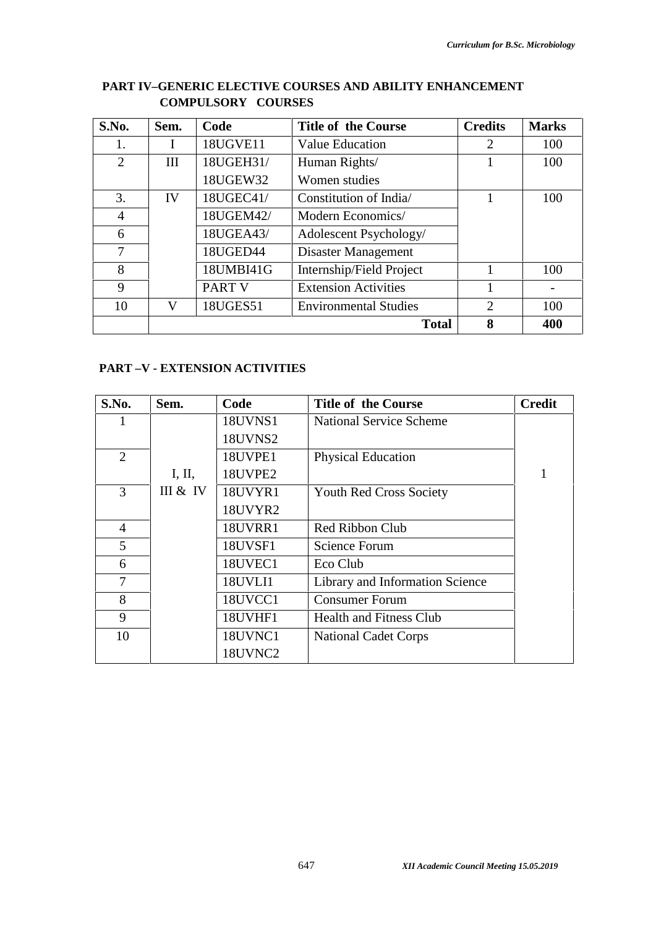| S.No.          | Sem. | Code          | <b>Title of the Course</b>   | <b>Credits</b> | <b>Marks</b> |
|----------------|------|---------------|------------------------------|----------------|--------------|
| 1.             |      | 18UGVE11      | Value Education              | $\overline{2}$ | 100          |
| $\overline{2}$ | Ш    | 18UGEH31/     | Human Rights/                |                | 100          |
|                |      | 18UGEW32      | Women studies                |                |              |
| 3.             | IV   | 18UGEC41/     | Constitution of India/       |                | 100          |
| $\overline{4}$ |      | 18UGEM42/     | Modern Economics/            |                |              |
| 6              |      | 18UGEA43/     | Adolescent Psychology/       |                |              |
| 7              |      | 18UGED44      | Disaster Management          |                |              |
| 8              |      | 18UMBI41G     | Internship/Field Project     |                | 100          |
| 9              |      | <b>PART V</b> | <b>Extension Activities</b>  |                |              |
| 10             | V    | 18UGES51      | <b>Environmental Studies</b> | $\overline{2}$ | 100          |
|                |      |               | <b>Total</b>                 | 8              | 400          |

## **PART IV–GENERIC ELECTIVE COURSES AND ABILITY ENHANCEMENT COMPULSORY COURSES**

## **PART –V - EXTENSION ACTIVITIES**

| S.No.          | Sem.     | Code           | <b>Title of the Course</b>      | <b>Credit</b> |
|----------------|----------|----------------|---------------------------------|---------------|
|                |          | <b>18UVNS1</b> | <b>National Service Scheme</b>  |               |
|                |          | <b>18UVNS2</b> |                                 |               |
| $\overline{2}$ |          | 18UVPE1        | <b>Physical Education</b>       |               |
|                | I, II,   | 18UVPE2        |                                 | 1             |
| 3              | III & IV | 18UVYR1        | <b>Youth Red Cross Society</b>  |               |
|                |          | 18UVYR2        |                                 |               |
| $\overline{4}$ |          | 18UVRR1        | Red Ribbon Club                 |               |
| 5              |          | 18UVSF1        | <b>Science Forum</b>            |               |
| 6              |          | 18UVEC1        | Eco Club                        |               |
| 7              |          | 18UVLI1        | Library and Information Science |               |
| 8              |          | 18UVCC1        | <b>Consumer Forum</b>           |               |
| 9              |          | 18UVHF1        | <b>Health and Fitness Club</b>  |               |
| 10             |          | 18UVNC1        | <b>National Cadet Corps</b>     |               |
|                |          | 18UVNC2        |                                 |               |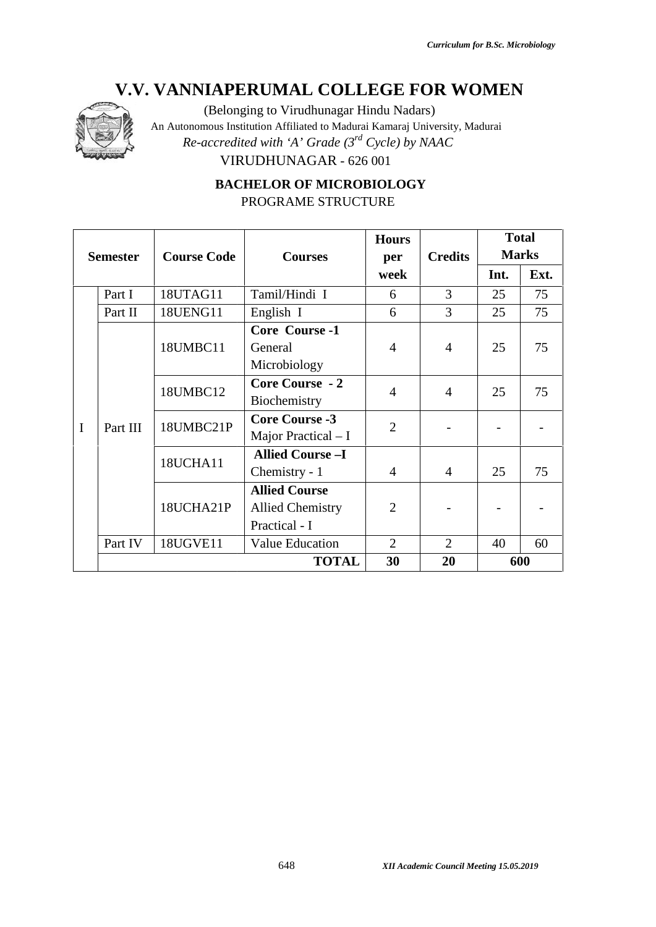

| <b>Semester</b> |                                |                                                                  | <b>Hours</b>                                                                                                                                         |                                                                           |                                                                   | <b>Total</b>                |
|-----------------|--------------------------------|------------------------------------------------------------------|------------------------------------------------------------------------------------------------------------------------------------------------------|---------------------------------------------------------------------------|-------------------------------------------------------------------|-----------------------------|
|                 | <b>Course Code</b>             | <b>Courses</b>                                                   | per                                                                                                                                                  | <b>Credits</b>                                                            |                                                                   | <b>Marks</b>                |
| Part I          | 18UTAG11                       | Tamil/Hindi I                                                    | week<br>6                                                                                                                                            | 3                                                                         | Int.<br>25                                                        | Ext.<br>75                  |
|                 |                                |                                                                  |                                                                                                                                                      |                                                                           |                                                                   | 75                          |
|                 |                                |                                                                  |                                                                                                                                                      |                                                                           |                                                                   |                             |
|                 |                                |                                                                  |                                                                                                                                                      | $\overline{4}$                                                            |                                                                   | 75                          |
|                 |                                |                                                                  |                                                                                                                                                      |                                                                           |                                                                   |                             |
|                 |                                | <b>Core Course - 2</b>                                           | $\overline{4}$                                                                                                                                       |                                                                           |                                                                   |                             |
|                 |                                | Biochemistry                                                     |                                                                                                                                                      |                                                                           |                                                                   | 75                          |
|                 |                                | <b>Core Course -3</b>                                            |                                                                                                                                                      |                                                                           |                                                                   |                             |
|                 |                                | Major Practical $- I$                                            |                                                                                                                                                      |                                                                           |                                                                   |                             |
|                 | 18UCHA11                       | <b>Allied Course-I</b>                                           |                                                                                                                                                      |                                                                           |                                                                   |                             |
|                 |                                | Chemistry - 1                                                    | $\overline{4}$                                                                                                                                       | $\overline{4}$                                                            | 25                                                                | 75                          |
|                 | 18UCHA21P                      |                                                                  |                                                                                                                                                      |                                                                           |                                                                   |                             |
|                 |                                |                                                                  |                                                                                                                                                      |                                                                           |                                                                   |                             |
|                 |                                |                                                                  |                                                                                                                                                      |                                                                           |                                                                   |                             |
|                 |                                |                                                                  |                                                                                                                                                      |                                                                           |                                                                   | 60                          |
|                 |                                |                                                                  |                                                                                                                                                      |                                                                           |                                                                   |                             |
|                 | Part II<br>Part III<br>Part IV | 18UENG11<br>18UMBC11<br>18UMBC12<br>18UMBC21P<br><b>18UGVE11</b> | English I<br>Core Course -1<br>General<br>Microbiology<br><b>Allied Course</b><br><b>Allied Chemistry</b><br>Practical - I<br><b>Value Education</b> | 6<br>$\overline{4}$<br>$\overline{2}$<br>$\overline{2}$<br>$\overline{2}$ | 3<br>$\overline{4}$<br>$\overline{2}$<br><b>TOTAL</b><br>30<br>20 | 25<br>25<br>25<br>40<br>600 |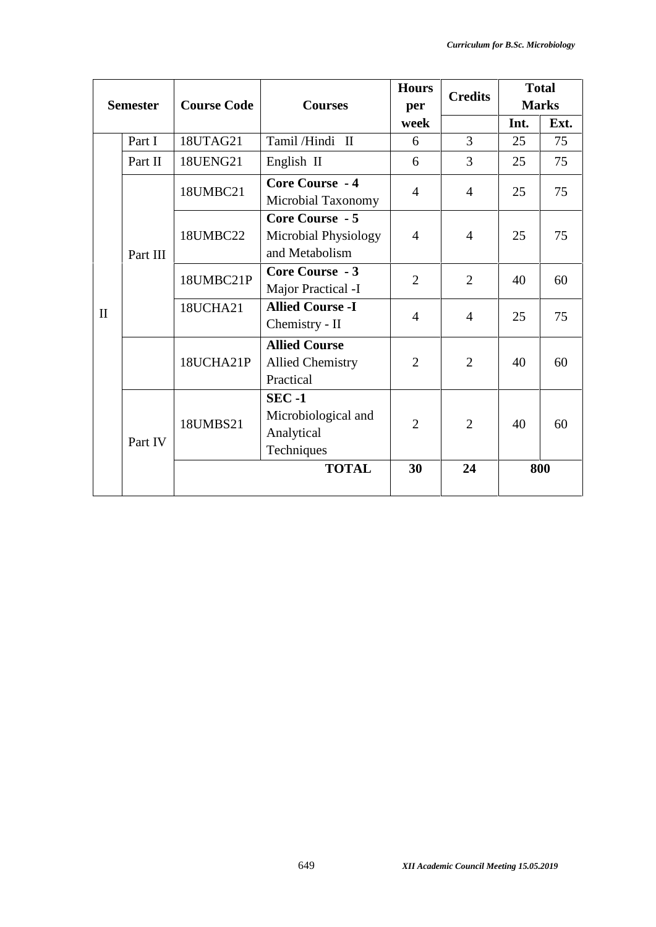| <b>Semester</b> |          | <b>Course Code</b> | <b>Courses</b>                                                   | <b>Hours</b><br>per | <b>Credits</b> | <b>Total</b><br><b>Marks</b> |      |
|-----------------|----------|--------------------|------------------------------------------------------------------|---------------------|----------------|------------------------------|------|
|                 |          |                    |                                                                  | week                |                | Int.                         | Ext. |
|                 | Part I   | 18UTAG21           | Tamil/Hindi II                                                   | 6                   | 3              | 25                           | 75   |
|                 | Part II  | 18UENG21           | English II                                                       | 6                   | 3              | 25                           | 75   |
|                 |          | 18UMBC21           | <b>Core Course - 4</b><br>Microbial Taxonomy                     | $\overline{4}$      | $\overline{4}$ | 25                           | 75   |
|                 | Part III | 18UMBC22           | <b>Core Course - 5</b><br>Microbial Physiology<br>and Metabolism | 4                   | $\overline{4}$ | 25                           | 75   |
|                 |          | 18UMBC21P          | <b>Core Course - 3</b><br>Major Practical -I                     | $\overline{2}$      | $\overline{2}$ | 40                           | 60   |
| $\mathbf{I}$    |          | 18UCHA21           | <b>Allied Course -I</b><br>Chemistry - II                        | $\overline{4}$      | $\overline{4}$ | 25                           | 75   |
|                 |          | 18UCHA21P          | <b>Allied Course</b><br><b>Allied Chemistry</b><br>Practical     | $\overline{2}$      | $\overline{2}$ | 40                           | 60   |
|                 | Part IV  | 18UMBS21           | <b>SEC-1</b><br>Microbiological and<br>Analytical<br>Techniques  | $\overline{2}$      | $\overline{2}$ | 40                           | 60   |
|                 |          |                    | <b>TOTAL</b>                                                     | 30                  | 24             |                              | 800  |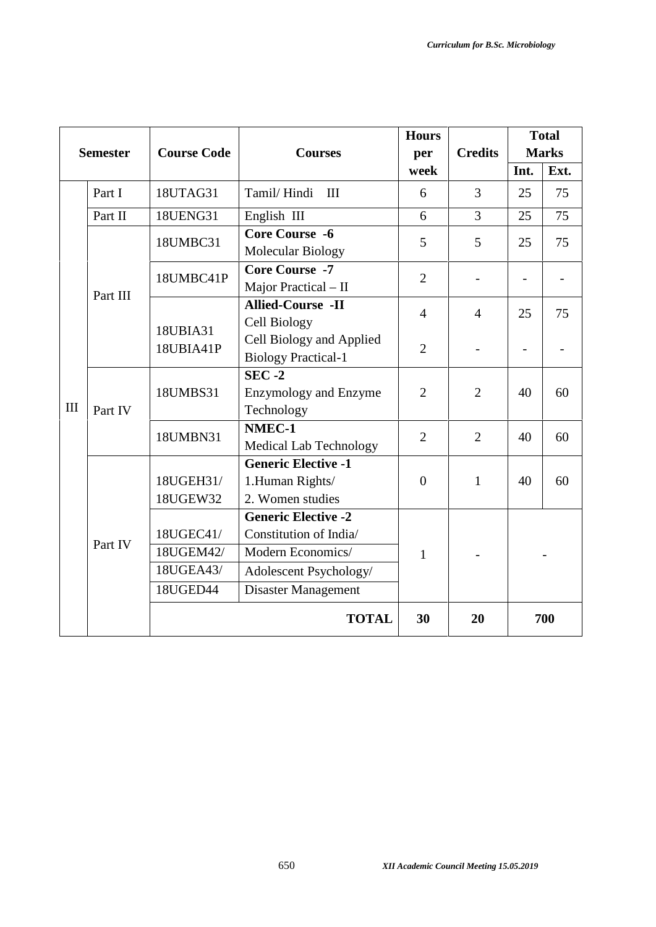|     |                 |                                                 |                                                                                                                                   | <b>Hours</b>   |                | <b>Total</b> |              |
|-----|-----------------|-------------------------------------------------|-----------------------------------------------------------------------------------------------------------------------------------|----------------|----------------|--------------|--------------|
|     | <b>Semester</b> | <b>Course Code</b>                              | <b>Courses</b>                                                                                                                    | per            | <b>Credits</b> |              | <b>Marks</b> |
|     |                 |                                                 |                                                                                                                                   | week           |                | Int.         | Ext.         |
|     | Part I          | 18UTAG31                                        | Tamil/Hindi<br>$\mathbf{III}$                                                                                                     | 6              | 3              | 25           | 75           |
|     | Part II         | 18UENG31                                        | English III                                                                                                                       | 6              | $\overline{3}$ | 25           | 75           |
|     |                 | 18UMBC31                                        | <b>Core Course -6</b><br>Molecular Biology                                                                                        | 5              | 5              | 25           | 75           |
|     |                 | 18UMBC41P                                       | <b>Core Course -7</b><br>Major Practical - II                                                                                     | $\overline{2}$ |                |              |              |
|     | Part III        |                                                 | <b>Allied-Course -II</b><br>Cell Biology                                                                                          | $\overline{4}$ | $\overline{4}$ | 25           | 75           |
|     |                 | 18UBIA31<br>18UBIA41P                           | Cell Biology and Applied<br><b>Biology Practical-1</b>                                                                            | $\overline{2}$ |                |              |              |
| III | Part IV         | 18UMBS31                                        | $SEC -2$<br><b>Enzymology and Enzyme</b><br>Technology                                                                            | $\overline{2}$ | $\overline{2}$ | 40           | 60           |
|     |                 | 18UMBN31                                        | NMEC-1<br>Medical Lab Technology                                                                                                  | $\overline{2}$ | $\mathfrak{2}$ | 40           | 60           |
|     |                 | 18UGEH31/<br>18UGEW32                           | <b>Generic Elective -1</b><br>1.Human Rights/<br>2. Women studies                                                                 | $\overline{0}$ | $\mathbf{1}$   | 40           | 60           |
|     | Part IV         | 18UGEC41/<br>18UGEM42/<br>18UGEA43/<br>18UGED44 | <b>Generic Elective -2</b><br>Constitution of India/<br>Modern Economics/<br>Adolescent Psychology/<br><b>Disaster Management</b> | 1              |                |              |              |
|     |                 |                                                 | <b>TOTAL</b>                                                                                                                      | 30             | 20             |              | 700          |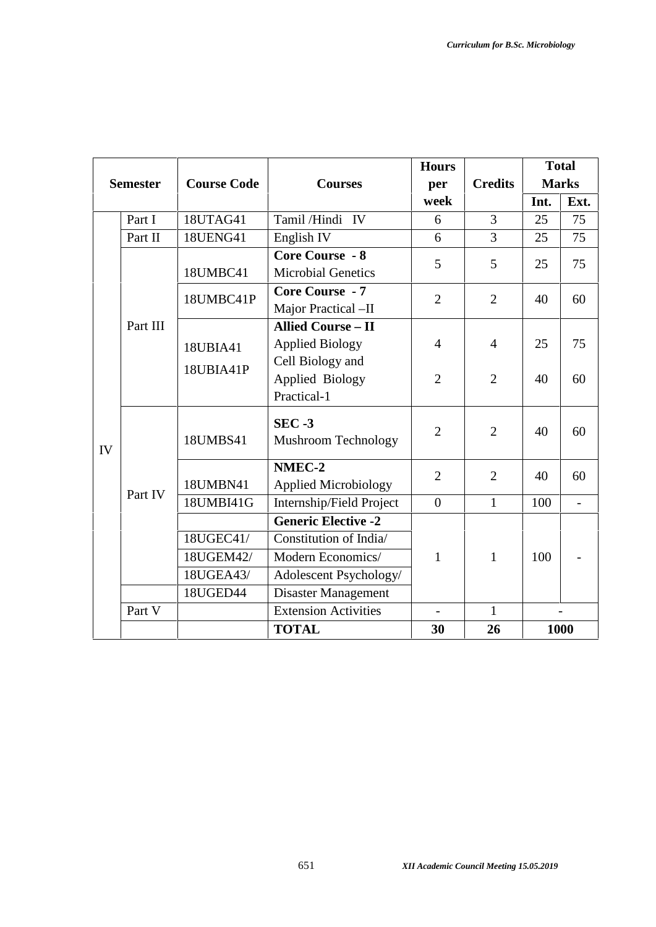|    |                 |                    |                                                                         | <b>Hours</b>   |                | <b>Total</b> |                |
|----|-----------------|--------------------|-------------------------------------------------------------------------|----------------|----------------|--------------|----------------|
|    | <b>Semester</b> | <b>Course Code</b> | <b>Courses</b>                                                          | per            | <b>Credits</b> |              | <b>Marks</b>   |
|    |                 |                    |                                                                         | week           |                | Int.         | Ext.           |
|    | Part I          | 18UTAG41           | Tamil/Hindi IV                                                          | 6              | 3              | 25           | 75             |
|    | Part II         | <b>18UENG41</b>    | English <sub>IV</sub>                                                   | 6              | 3              | 25           | 75             |
|    |                 | 18UMBC41           | <b>Core Course - 8</b><br><b>Microbial Genetics</b>                     | 5              | 5              | 25           | 75             |
|    |                 | 18UMBC41P          | <b>Core Course - 7</b><br>Major Practical -II                           | $\overline{2}$ | $\overline{2}$ | 40           | 60             |
|    | Part III        | 18UBIA41           | <b>Allied Course - II</b><br><b>Applied Biology</b><br>Cell Biology and | $\overline{4}$ | $\overline{4}$ | 25           | 75             |
|    |                 | 18UBIA41P          | Applied Biology<br>Practical-1                                          | $\overline{2}$ | $\overline{2}$ | 40           | 60             |
| IV |                 | 18UMBS41           | $SEC -3$<br><b>Mushroom Technology</b>                                  | $\overline{2}$ | $\overline{2}$ | 40           | 60             |
|    | Part IV         | 18UMBN41           | NMEC-2<br><b>Applied Microbiology</b>                                   | $\overline{2}$ | $\overline{2}$ | 40           | 60             |
|    |                 | 18UMBI41G          | Internship/Field Project                                                | $\overline{0}$ | $\mathbf{1}$   | 100          | $\overline{a}$ |
|    |                 |                    | <b>Generic Elective -2</b>                                              |                |                |              |                |
|    |                 | 18UGEC41/          | Constitution of India/                                                  |                |                |              |                |
|    |                 | 18UGEM42/          | Modern Economics/                                                       | $\mathbf{1}$   | $\mathbf{1}$   | 100          |                |
|    |                 | 18UGEA43/          | Adolescent Psychology/                                                  |                |                |              |                |
|    |                 | 18UGED44           | Disaster Management                                                     |                |                |              |                |
|    | Part V          |                    | <b>Extension Activities</b>                                             |                | $\mathbf{1}$   |              |                |
|    |                 |                    | <b>TOTAL</b>                                                            | 30             | 26             |              | 1000           |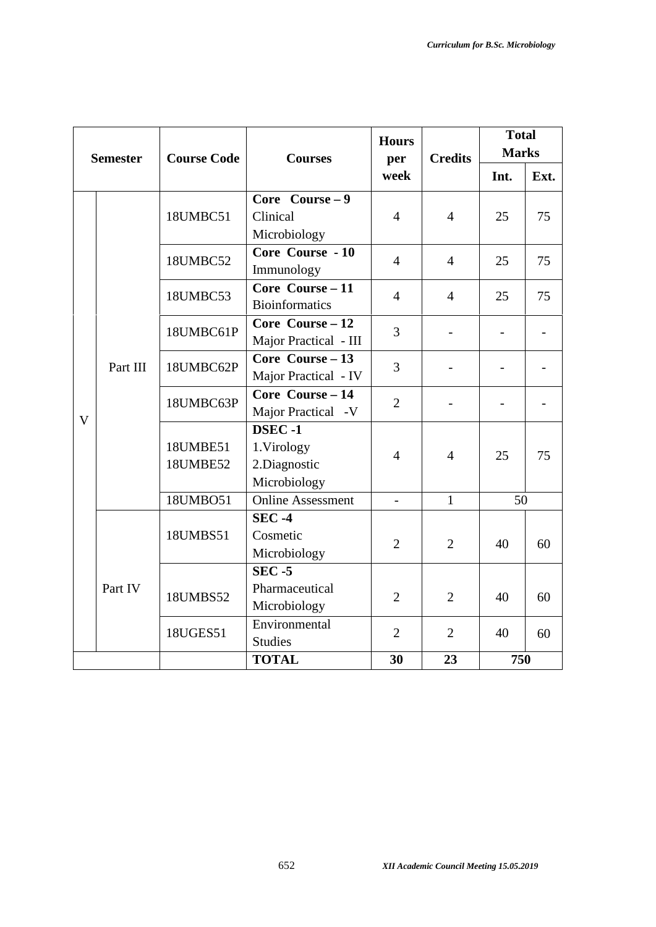| <b>Semester</b> |          | <b>Course Code</b><br><b>Courses</b> |                          | <b>Hours</b><br>per      | <b>Credits</b> | <b>Total</b><br><b>Marks</b> |      |
|-----------------|----------|--------------------------------------|--------------------------|--------------------------|----------------|------------------------------|------|
|                 |          |                                      |                          | week                     |                | Int.                         | Ext. |
|                 |          |                                      | Core Course - 9          |                          |                |                              |      |
|                 |          | 18UMBC51                             | Clinical                 | $\overline{4}$           | $\overline{4}$ | 25                           | 75   |
|                 |          |                                      | Microbiology             |                          |                |                              |      |
|                 |          | 18UMBC52                             | Core Course - 10         | $\overline{4}$           | $\overline{4}$ | 25                           | 75   |
|                 |          |                                      | Immunology               |                          |                |                              |      |
|                 |          | 18UMBC53                             | Core Course - 11         | $\overline{4}$           | $\overline{4}$ | 25                           | 75   |
|                 |          |                                      | <b>Bioinformatics</b>    |                          |                |                              |      |
|                 |          | 18UMBC61P                            | Core Course - 12         | 3                        |                |                              |      |
|                 |          |                                      | Major Practical - III    |                          |                |                              |      |
|                 | Part III | 18UMBC62P                            | Core Course - 13         | 3                        |                |                              |      |
|                 |          |                                      | Major Practical - IV     |                          |                |                              |      |
|                 |          | 18UMBC63P                            | Core Course - 14         | $\overline{2}$           |                |                              |      |
| V               |          |                                      | Major Practical -V       |                          |                |                              |      |
|                 |          |                                      | <b>DSEC -1</b>           |                          |                |                              |      |
|                 |          | 18UMBE51<br>18UMBE52                 | 1.Virology               | $\overline{4}$           | $\overline{4}$ | 25                           | 75   |
|                 |          |                                      | 2.Diagnostic             |                          |                |                              |      |
|                 |          |                                      | Microbiology             |                          |                |                              |      |
|                 |          | 18UMBO51                             | <b>Online Assessment</b> | $\overline{\phantom{0}}$ | $\mathbf{1}$   | 50                           |      |
|                 |          |                                      | $SEC -4$                 |                          |                |                              |      |
|                 |          | 18UMBS51                             | Cosmetic                 | $\overline{2}$           | $\overline{2}$ | 40                           | 60   |
|                 |          |                                      | Microbiology             |                          |                |                              |      |
|                 |          |                                      | $SEC - 5$                |                          |                |                              |      |
|                 | Part IV  | 18UMBS52                             | Pharmaceutical           | $\overline{2}$           | $\overline{2}$ | 40                           | 60   |
|                 |          |                                      | Microbiology             |                          |                |                              |      |
|                 |          | 18UGES51                             | Environmental            | $\overline{2}$           | $\overline{2}$ | 40                           | 60   |
|                 |          |                                      | <b>Studies</b>           |                          |                |                              |      |
|                 |          |                                      | <b>TOTAL</b>             | 30                       | 23             | 750                          |      |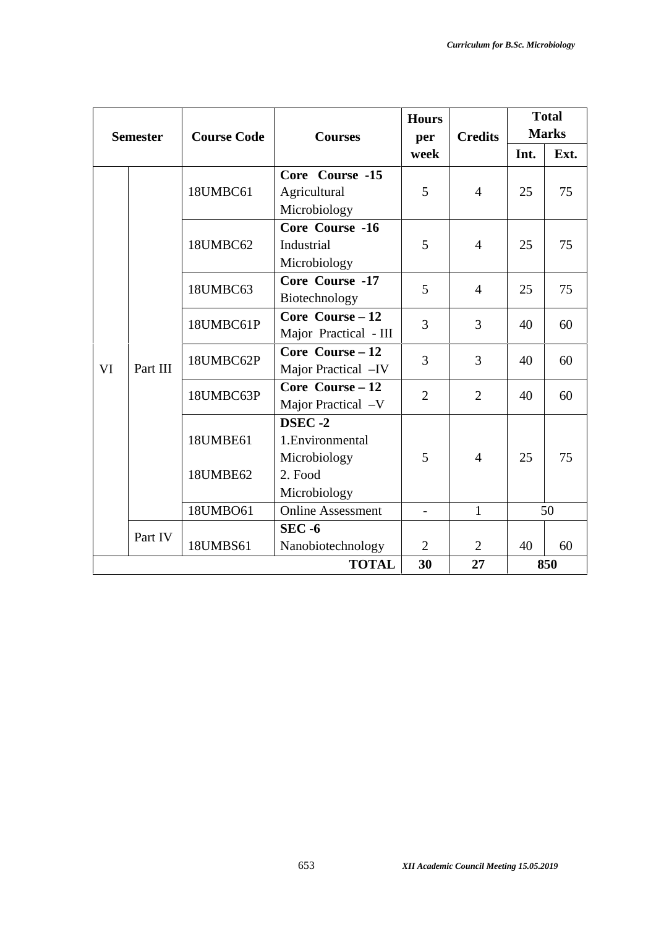|                 |          |                    | <b>Hours</b>             |                |                | <b>Total</b> |              |
|-----------------|----------|--------------------|--------------------------|----------------|----------------|--------------|--------------|
| <b>Semester</b> |          | <b>Course Code</b> | <b>Courses</b>           | per            | <b>Credits</b> |              | <b>Marks</b> |
|                 |          |                    |                          | week           |                | Int.         | Ext.         |
|                 |          |                    | Core Course -15          |                |                |              |              |
|                 |          | 18UMBC61           | Agricultural             | 5              | $\overline{4}$ | 25           | 75           |
|                 |          |                    | Microbiology             |                |                |              |              |
|                 |          |                    | Core Course -16          |                |                |              |              |
|                 |          | 18UMBC62           | Industrial               | 5              | $\overline{4}$ | 25           | 75           |
|                 |          |                    | Microbiology             |                |                |              |              |
|                 |          | 18UMBC63           | Core Course -17          | 5              | $\overline{4}$ | 25           | 75           |
|                 |          |                    | Biotechnology            |                |                |              |              |
|                 |          | 18UMBC61P          | Core Course - 12         | 3              | 3              | 40           | 60           |
|                 |          |                    | Major Practical - III    |                |                |              |              |
|                 |          | 18UMBC62P          | Core Course - 12         | 3              | 3              | 40           | 60           |
| VI              | Part III |                    | Major Practical -IV      |                |                |              |              |
|                 |          | 18UMBC63P          | Core Course - 12         | $\overline{2}$ | $\overline{2}$ | 40           | 60           |
|                 |          |                    | Major Practical -V       |                |                |              |              |
|                 |          |                    | DSEC-2                   |                |                |              |              |
|                 |          | 18UMBE61           | 1. Environmental         |                |                |              |              |
|                 |          |                    | Microbiology             | 5              | $\overline{4}$ | 25           | 75           |
|                 |          | 18UMBE62           | 2. Food                  |                |                |              |              |
|                 |          |                    | Microbiology             |                |                |              |              |
|                 |          | 18UMBO61           | <b>Online Assessment</b> |                | $\mathbf{1}$   |              | 50           |
|                 | Part IV  |                    | $SEC - 6$                |                |                |              |              |
|                 |          | 18UMBS61           | Nanobiotechnology        | $\overline{2}$ | $\overline{2}$ | 40           | 60           |
|                 |          |                    | <b>TOTAL</b>             | 30             | 27             |              | 850          |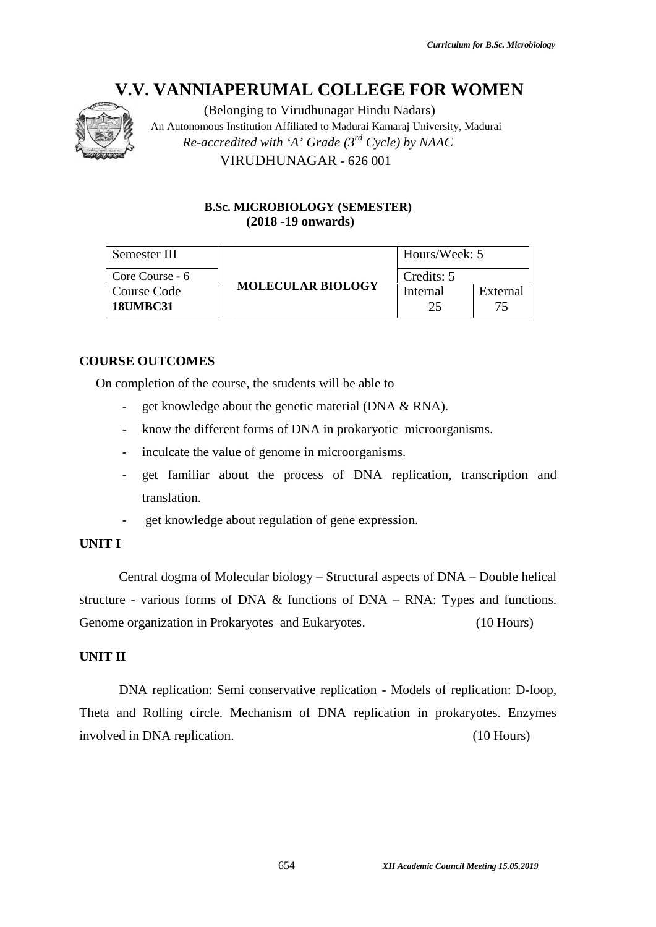

# **B.Sc. MICROBIOLOGY (SEMESTER) (2018 -19 onwards)**

|                                             | V.V. VANNIAPERUMAL COLLEGE FOR WOMEN<br>(Belonging to Virudhunagar Hindu Nadars)<br>An Autonomous Institution Affiliated to Madurai Kamaraj University, Madurai<br>Re-accredited with 'A' Grade $(3^{rd}$ Cycle) by NAAC<br>VIRUDHUNAGAR - 626 001                                                                                                                                                                                                                                                                                                                                           |                                         |                |
|---------------------------------------------|----------------------------------------------------------------------------------------------------------------------------------------------------------------------------------------------------------------------------------------------------------------------------------------------------------------------------------------------------------------------------------------------------------------------------------------------------------------------------------------------------------------------------------------------------------------------------------------------|-----------------------------------------|----------------|
|                                             | <b>B.Sc. MICROBIOLOGY (SEMESTER)</b><br>$(2018 - 19)$ onwards)                                                                                                                                                                                                                                                                                                                                                                                                                                                                                                                               |                                         |                |
| Semester III                                |                                                                                                                                                                                                                                                                                                                                                                                                                                                                                                                                                                                              | Hours/Week: 5                           |                |
| Core Course - 6                             |                                                                                                                                                                                                                                                                                                                                                                                                                                                                                                                                                                                              | Credits: 5                              |                |
| <b>Course Code</b><br><b>18UMBC31</b>       | <b>MOLECULAR BIOLOGY</b>                                                                                                                                                                                                                                                                                                                                                                                                                                                                                                                                                                     | Internal<br>25                          | External<br>75 |
| <b>URSE OUTCOMES</b><br>translation.<br>T I | In completion of the course, the students will be able to<br>get knowledge about the genetic material (DNA & RNA).<br>know the different forms of DNA in prokaryotic microorganisms.<br>inculcate the value of genome in microorganisms.<br>get familiar about the process of DNA replication, transcription and<br>get knowledge about regulation of gene expression.<br>Central dogma of Molecular biology – Structural aspects of DNA – Double helical<br>exture - various forms of DNA & functions of DNA – RNA: Types and functions.<br>ome organization in Prokaryotes and Eukaryotes. |                                         | $(10$ Hours)   |
| $\Pi$ $\Pi$                                 |                                                                                                                                                                                                                                                                                                                                                                                                                                                                                                                                                                                              |                                         |                |
| lved in DNA replication.                    | DNA replication: Semi conservative replication - Models of replication: D-loop,<br>a and Rolling circle. Mechanism of DNA replication in prokaryotes. Enzymes                                                                                                                                                                                                                                                                                                                                                                                                                                |                                         | $(10$ Hours)   |
|                                             | 654                                                                                                                                                                                                                                                                                                                                                                                                                                                                                                                                                                                          | XII Academic Council Meeting 15.05.2019 |                |

# **COURSE OUTCOMES**

- get knowledge about the genetic material (DNA & RNA).
- know the different forms of DNA in prokaryotic microorganisms.
- inculcate the value of genome in microorganisms.
- get familiar about the process of DNA replication, transcription and translation.
- get knowledge about regulation of gene expression.

# **UNIT I**

Central dogma of Molecular biology – Structural aspects of DNA – Double helical structure - various forms of DNA & functions of DNA – RNA: Types and functions. Genome organization in Prokaryotes and Eukaryotes. (10 Hours)

# **UNIT II**

DNA replication: Semi conservative replication - Models of replication: D-loop, Theta and Rolling circle. Mechanism of DNA replication in prokaryotes. Enzymes involved in DNA replication. (10 Hours)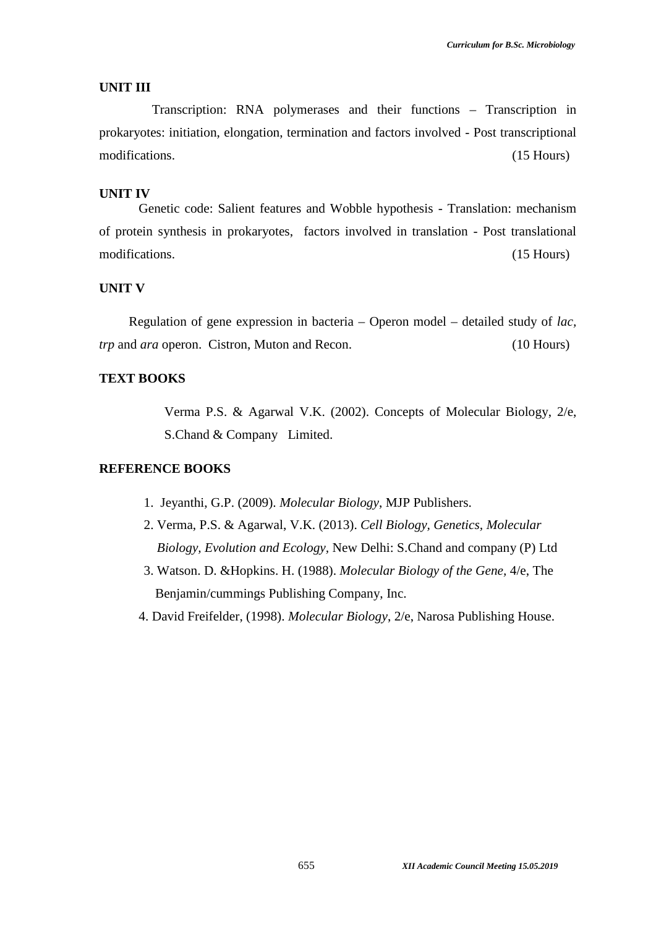#### **UNIT III**

Transcription: RNA polymerases and their functions – Transcription in prokaryotes: initiation, elongation, termination and factors involved - Post transcriptional modifications. (15 Hours)

#### **UNIT IV**

Genetic code: Salient features and Wobble hypothesis - Translation: mechanism of protein synthesis in prokaryotes, factors involved in translation - Post translational modifications. (15 Hours)

#### **UNIT V**

Regulation of gene expression in bacteria – Operon model – detailed study of *lac, trp* and *ara* operon. Cistron, Muton and Recon. (10 Hours)

#### **TEXT BOOKS**

Verma P.S. & Agarwal V.K. (2002). Concepts of Molecular Biology, 2/e, S.Chand & Company Limited.

- 1. Jeyanthi, G.P. (2009). *Molecular Biology*, MJP Publishers.
- 2. Verma, P.S. & Agarwal, V.K. (2013). *Cell Biology, Genetics, Molecular Biology, Evolution and Ecology,* New Delhi: S.Chand and company (P) Ltd
- 3. Watson. D. &Hopkins. H. (1988). *Molecular Biology of the Gene,* 4/e, The Benjamin/cummings Publishing Company, Inc.
- 4. David Freifelder, (1998). *Molecular Biology*, 2/e, Narosa Publishing House.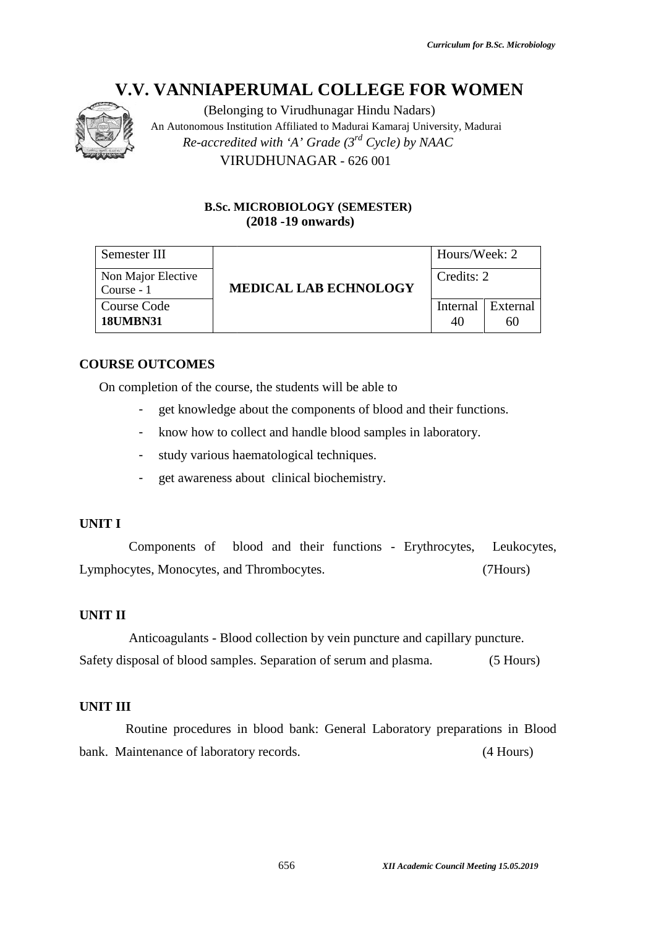

# **B.Sc. MICROBIOLOGY (SEMESTER) (2018 -19 onwards)**

|                                                     | <b>V.V. VANNIAPERUMAL COLLEGE FOR WOMEN</b><br>(Belonging to Virudhunagar Hindu Nadars)<br>An Autonomous Institution Affiliated to Madurai Kamaraj University, Madurai<br>Re-accredited with 'A' Grade $(3^{rd}$ Cycle) by NAAC<br>VIRUDHUNAGAR - 626 001 |                                         |
|-----------------------------------------------------|-----------------------------------------------------------------------------------------------------------------------------------------------------------------------------------------------------------------------------------------------------------|-----------------------------------------|
|                                                     | <b>B.Sc. MICROBIOLOGY (SEMESTER)</b><br>$(2018 - 19)$ onwards)                                                                                                                                                                                            |                                         |
| Semester III                                        |                                                                                                                                                                                                                                                           | Hours/Week: 2                           |
| Non Major Elective                                  |                                                                                                                                                                                                                                                           | Credits: 2                              |
| Course - 1<br><b>Course Code</b><br><b>18UMBN31</b> | <b>MEDICAL LAB ECHNOLOGY</b>                                                                                                                                                                                                                              | External<br>Internal<br>40<br>60        |
| <b>DURSE OUTCOMES</b>                               |                                                                                                                                                                                                                                                           |                                         |
|                                                     | On completion of the course, the students will be able to                                                                                                                                                                                                 |                                         |
|                                                     | get knowledge about the components of blood and their functions.                                                                                                                                                                                          |                                         |
|                                                     | know how to collect and handle blood samples in laboratory.                                                                                                                                                                                               |                                         |
| -                                                   | study various haematological techniques.                                                                                                                                                                                                                  |                                         |
|                                                     | get awareness about clinical biochemistry.                                                                                                                                                                                                                |                                         |
| NIT I<br>mphocytes, Monocytes, and Thrombocytes.    | Components of blood and their functions - Erythrocytes,                                                                                                                                                                                                   | Leukocytes,<br>(7Hours)                 |
| NIT II                                              |                                                                                                                                                                                                                                                           |                                         |
|                                                     | Anticoagulants - Blood collection by vein puncture and capillary puncture.                                                                                                                                                                                |                                         |
|                                                     | fety disposal of blood samples. Separation of serum and plasma.                                                                                                                                                                                           | $(5$ Hours)                             |
| VIT III                                             |                                                                                                                                                                                                                                                           |                                         |
|                                                     | Routine procedures in blood bank: General Laboratory preparations in Blood                                                                                                                                                                                |                                         |
| nk. Maintenance of laboratory records.              |                                                                                                                                                                                                                                                           | $(4$ Hours)                             |
|                                                     |                                                                                                                                                                                                                                                           |                                         |
|                                                     | 656                                                                                                                                                                                                                                                       | XII Academic Council Meeting 15.05.2019 |

# **COURSE OUTCOMES**

- get knowledge about the components of blood and their functions.
- know how to collect and handle blood samples in laboratory.
- study various haematological techniques.
- get awareness about clinical biochemistry.

# **UNIT I**

# **UNIT II**

# **UNIT III**

Routine procedures in blood bank: General Laboratory preparations in Blood bank. Maintenance of laboratory records. (4 Hours)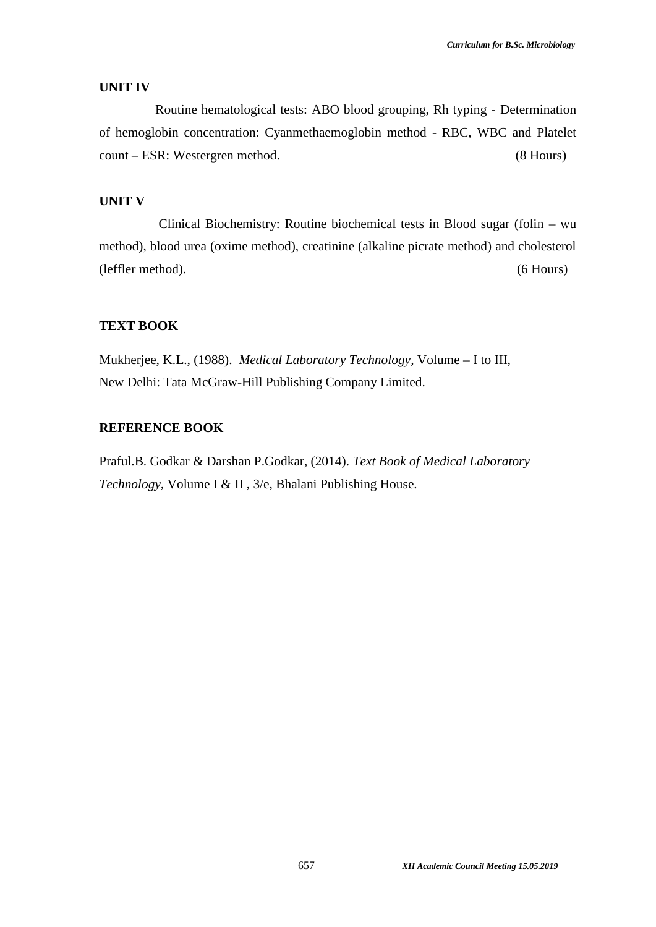#### **UNIT IV**

Routine hematological tests: ABO blood grouping, Rh typing - Determination of hemoglobin concentration: Cyanmethaemoglobin method - RBC, WBC and Platelet count – ESR: Westergren method. (8 Hours)

#### **UNIT V**

Clinical Biochemistry: Routine biochemical tests in Blood sugar (folin – wu method), blood urea (oxime method), creatinine (alkaline picrate method) and cholesterol (leffler method). (6 Hours)

## **TEXT BOOK**

Mukherjee, K.L., (1988). *Medical Laboratory Technology,* Volume – I to III, New Delhi: Tata McGraw-Hill Publishing Company Limited.

#### **REFERENCE BOOK**

Praful.B. Godkar & Darshan P.Godkar, (2014). *Text Book of Medical Laboratory Technology,* Volume I & II , 3/e, Bhalani Publishing House.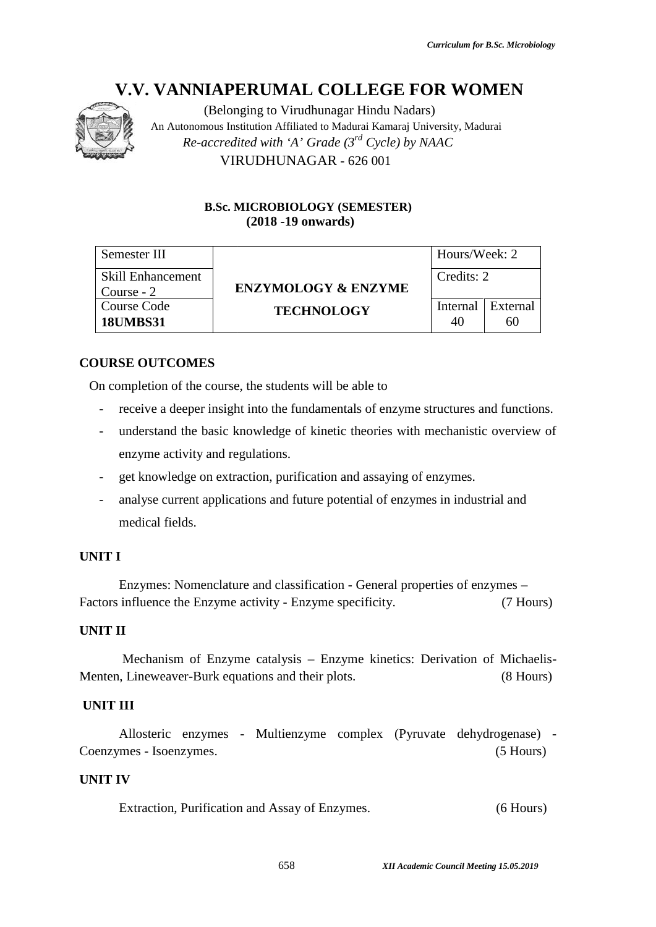

# **B.Sc. MICROBIOLOGY (SEMESTER) (2018 -19 onwards)**

|                                  | V.V. VANNIAPERUMAL COLLEGE FOR WOMEN<br>(Belonging to Virudhunagar Hindu Nadars)<br>An Autonomous Institution Affiliated to Madurai Kamaraj University, Madurai<br>Re-accredited with 'A' Grade $(3^{rd}$ Cycle) by NAAC<br>VIRUDHUNAGAR - 626 001 |                                         |                |
|----------------------------------|----------------------------------------------------------------------------------------------------------------------------------------------------------------------------------------------------------------------------------------------------|-----------------------------------------|----------------|
|                                  | <b>B.Sc. MICROBIOLOGY (SEMESTER)</b><br>$(2018 - 19)$ onwards)                                                                                                                                                                                     |                                         |                |
| Semester III                     |                                                                                                                                                                                                                                                    | Hours/Week: 2                           |                |
| <b>Skill Enhancement</b>         |                                                                                                                                                                                                                                                    | Credits: 2                              |                |
| Course - 2                       | <b>ENZYMOLOGY &amp; ENZYME</b>                                                                                                                                                                                                                     |                                         |                |
| Course Code<br><b>18UMBS31</b>   | <b>TECHNOLOGY</b>                                                                                                                                                                                                                                  | Internal<br>40                          | External<br>60 |
| <b>DURSE OUTCOMES</b>            |                                                                                                                                                                                                                                                    |                                         |                |
|                                  | On completion of the course, the students will be able to                                                                                                                                                                                          |                                         |                |
|                                  | receive a deeper insight into the fundamentals of enzyme structures and functions.                                                                                                                                                                 |                                         |                |
|                                  | understand the basic knowledge of kinetic theories with mechanistic overview of                                                                                                                                                                    |                                         |                |
| enzyme activity and regulations. |                                                                                                                                                                                                                                                    |                                         |                |
|                                  | get knowledge on extraction, purification and assaying of enzymes.                                                                                                                                                                                 |                                         |                |
|                                  | analyse current applications and future potential of enzymes in industrial and                                                                                                                                                                     |                                         |                |
| medical fields.                  |                                                                                                                                                                                                                                                    |                                         |                |
| NIT I                            |                                                                                                                                                                                                                                                    |                                         |                |
|                                  | Enzymes: Nomenclature and classification - General properties of enzymes –                                                                                                                                                                         |                                         |                |
|                                  | ctors influence the Enzyme activity - Enzyme specificity.                                                                                                                                                                                          |                                         | (7 Hours)      |
| II TI                            |                                                                                                                                                                                                                                                    |                                         |                |
|                                  | Mechanism of Enzyme catalysis – Enzyme kinetics: Derivation of Michaelis-<br>enten, Lineweaver-Burk equations and their plots.                                                                                                                     |                                         | $(8$ Hours)    |
| NIT III                          |                                                                                                                                                                                                                                                    |                                         |                |
| enzymes - Isoenzymes.            | Allosteric enzymes - Multienzyme complex (Pyruvate dehydrogenase) -                                                                                                                                                                                |                                         | $(5$ Hours)    |
| VIT IV                           |                                                                                                                                                                                                                                                    |                                         |                |
|                                  | Extraction, Purification and Assay of Enzymes.                                                                                                                                                                                                     |                                         | $(6$ Hours)    |
|                                  | 658                                                                                                                                                                                                                                                | XII Academic Council Meeting 15.05.2019 |                |

# **COURSE OUTCOMES**

- receive a deeper insight into the fundamentals of enzyme structures and functions.
- understand the basic knowledge of kinetic theories with mechanistic overview of enzyme activity and regulations.
- get knowledge on extraction, purification and assaying of enzymes.
- analyse current applications and future potential of enzymes in industrial and medical fields. Externalcourse, the students will insight into fundamentals of the with mechanistic and getand assaying industrial andfields.

# **UNIT I**

# **UNIT II**

#### **UNIT III**

# **UNIT IV**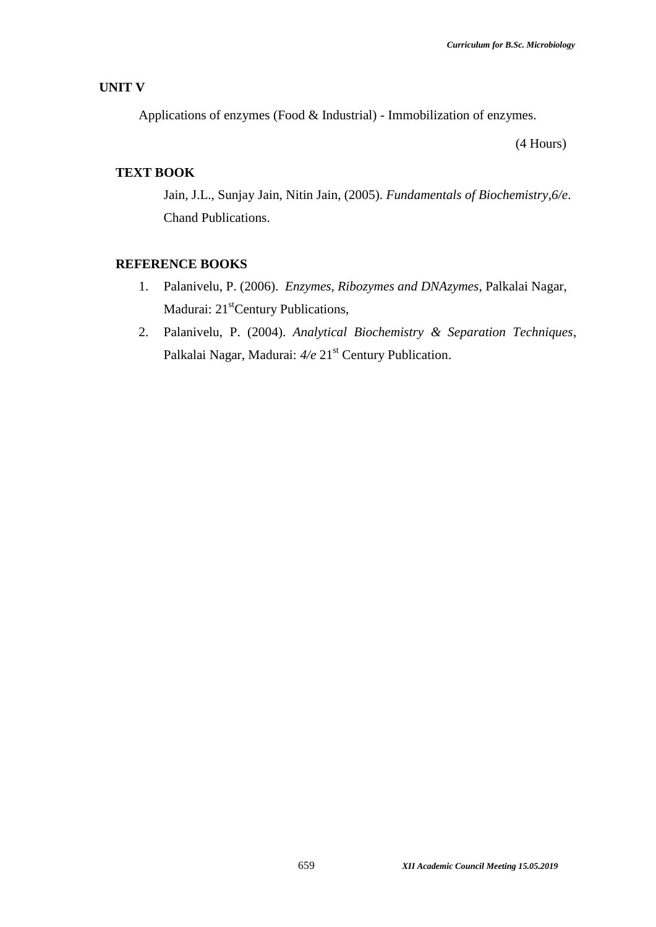#### **UNIT V**

Applications of enzymes (Food & Industrial) - Immobilization of enzymes.

(4 Hours)

#### **TEXT BOOK**

Jain, J.L., Sunjay Jain, Nitin Jain, (2005). *Fundamentals of Biochemistry*,*6/e*. Chand Publications.

- 1. Palanivelu, P. (2006). *Enzymes, Ribozymes and DNAzymes*, Palkalai Nagar, Madurai: 21<sup>st</sup>Century Publications,
- 2. Palanivelu, P. (2004). *Analytical Biochemistry & Separation Techniques*, Palkalai Nagar, Madurai:  $4/e$  21<sup>st</sup> Century Publication.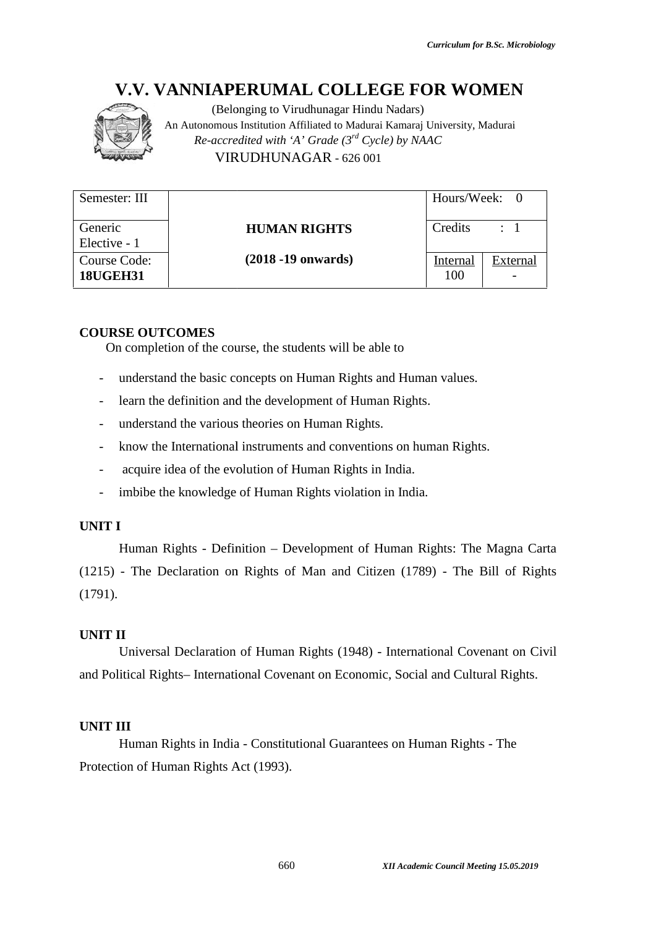

|                                                    | <b>V.V. VANNIAPERUMAL COLLEGE FOR WOMEN</b>                                                                                                                                               |                                         |                 |
|----------------------------------------------------|-------------------------------------------------------------------------------------------------------------------------------------------------------------------------------------------|-----------------------------------------|-----------------|
|                                                    | (Belonging to Virudhunagar Hindu Nadars)<br>An Autonomous Institution Affiliated to Madurai Kamaraj University, Madurai<br>Re-accredited with 'A' Grade $(3^{rd}$ Cycle) by NAAC          |                                         |                 |
|                                                    | VIRUDHUNAGAR - 626 001                                                                                                                                                                    |                                         |                 |
| Semester: III                                      |                                                                                                                                                                                           | Hours/Week:                             | $\Omega$        |
| Generic<br>Elective - 1                            | <b>HUMAN RIGHTS</b>                                                                                                                                                                       | Credits                                 | $\therefore$ 1  |
| Course Code:<br><b>18UGEH31</b>                    | $(2018 - 19)$ onwards)                                                                                                                                                                    | <b>Internal</b><br>100                  | <b>External</b> |
| <b>COURSE OUTCOMES</b><br>$\overline{\phantom{0}}$ | On completion of the course, the students will be able to<br>understand the basic concepts on Human Rights and Human values.<br>learn the definition and the development of Human Rights. |                                         |                 |
|                                                    | understand the various theories on Human Rights.                                                                                                                                          |                                         |                 |
|                                                    | know the International instruments and conventions on human Rights.                                                                                                                       |                                         |                 |
|                                                    | acquire idea of the evolution of Human Rights in India.                                                                                                                                   |                                         |                 |
| $\qquad \qquad -$                                  |                                                                                                                                                                                           |                                         |                 |
|                                                    | imbibe the knowledge of Human Rights violation in India.                                                                                                                                  |                                         |                 |
| <b>UNIT I</b>                                      |                                                                                                                                                                                           |                                         |                 |
|                                                    | Human Rights - Definition – Development of Human Rights: The Magna Carta                                                                                                                  |                                         |                 |
|                                                    | (1215) - The Declaration on Rights of Man and Citizen (1789) - The Bill of Rights                                                                                                         |                                         |                 |
| (1791).                                            |                                                                                                                                                                                           |                                         |                 |
| <b>UNIT II</b>                                     | Universal Declaration of Human Rights (1948) - International Covenant on Civil<br>and Political Rights-International Covenant on Economic, Social and Cultural Rights.                    |                                         |                 |
| <b>UNIT III</b>                                    | Human Rights in India - Constitutional Guarantees on Human Rights - The<br>Protection of Human Rights Act (1993).                                                                         |                                         |                 |
|                                                    | 660                                                                                                                                                                                       | XII Academic Council Meeting 15.05.2019 |                 |

#### **COURSE OUTCOMES**

- understand the basic concepts on Human Rights and Human values.
- learn the definition and the development of Human Rights.
- understand the various theories on Human Rights.
- know the International instruments and conventions on human Rights.
- acquire idea of the evolution of Human Rights in India.
- imbibe the knowledge of Human Rights violation in India.

#### **UNIT I**

# **UNIT II**

#### **UNIT III**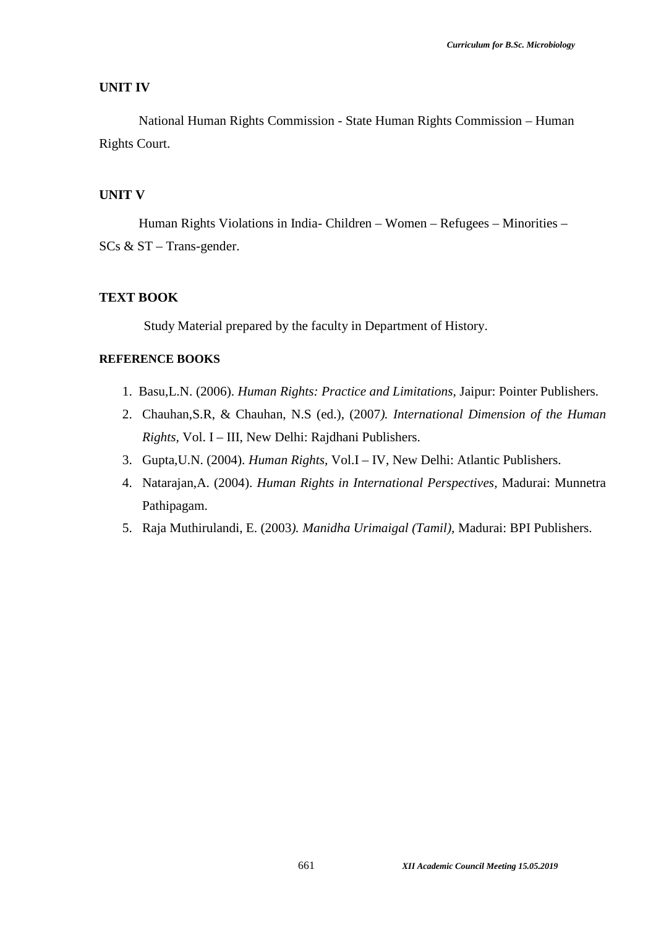#### **UNIT IV**

National Human Rights Commission - State Human Rights Commission – Human Rights Court.

## **UNIT V**

Human Rights Violations in India- Children – Women – Refugees – Minorities – SCs & ST – Trans-gender.

#### **TEXT BOOK**

Study Material prepared by the faculty in Department of History.

- 1. Basu,L.N. (2006). *Human Rights: Practice and Limitations,* Jaipur: Pointer Publishers.
- 2. Chauhan,S.R, & Chauhan, N.S (ed.), (2007*). International Dimension of the Human Rights,* Vol. I – III, New Delhi: Rajdhani Publishers.
- 3. Gupta,U.N. (2004). *Human Rights,* Vol.I IV, New Delhi: Atlantic Publishers.
- 4. Natarajan,A. (2004). *Human Rights in International Perspectives,* Madurai: Munnetra Pathipagam.
- 5. Raja Muthirulandi, E. (2003*). Manidha Urimaigal (Tamil),* Madurai: BPI Publishers.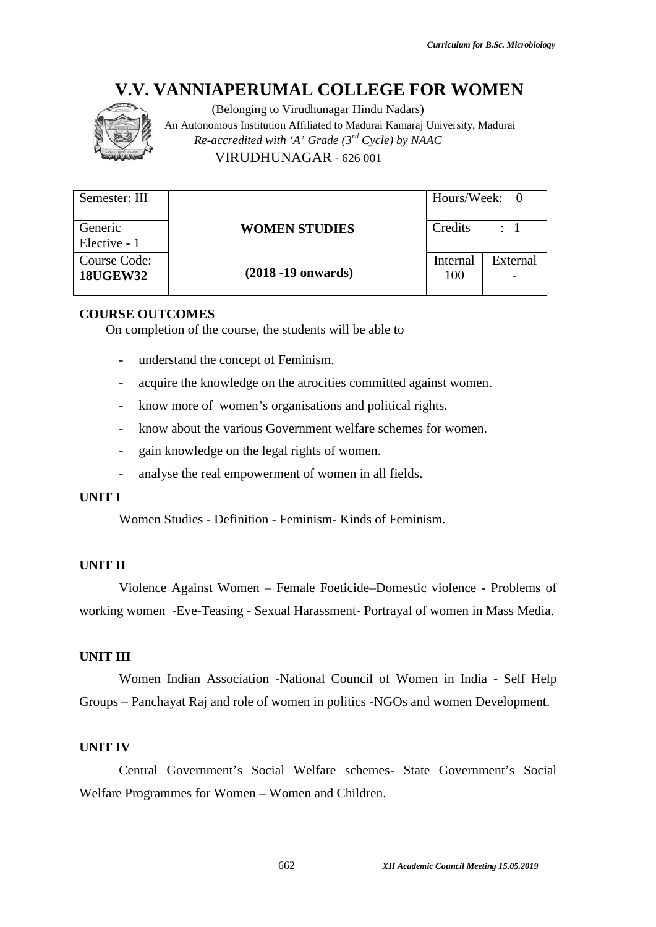

|                                 | <b>V.V. VANNIAPERUMAL COLLEGE FOR WOMEN</b>                                                                                                                                      |                                         |                 |
|---------------------------------|----------------------------------------------------------------------------------------------------------------------------------------------------------------------------------|-----------------------------------------|-----------------|
|                                 | (Belonging to Virudhunagar Hindu Nadars)<br>An Autonomous Institution Affiliated to Madurai Kamaraj University, Madurai<br>Re-accredited with 'A' Grade $(3^{rd}$ Cycle) by NAAC |                                         |                 |
|                                 | VIRUDHUNAGAR - 626 001                                                                                                                                                           |                                         |                 |
| Semester: III                   |                                                                                                                                                                                  | Hours/Week:                             | $\Omega$        |
| Generic                         | <b>WOMEN STUDIES</b>                                                                                                                                                             | Credits                                 | $\therefore$ 1  |
| Elective - 1                    |                                                                                                                                                                                  |                                         |                 |
| Course Code:<br><b>18UGEW32</b> | $(2018 - 19)$ onwards)                                                                                                                                                           | <b>Internal</b><br>100                  | <b>External</b> |
| <b>COURSE OUTCOMES</b>          |                                                                                                                                                                                  |                                         |                 |
|                                 | On completion of the course, the students will be able to                                                                                                                        |                                         |                 |
|                                 | understand the concept of Feminism.                                                                                                                                              |                                         |                 |
|                                 | acquire the knowledge on the atrocities committed against women.                                                                                                                 |                                         |                 |
| $\overline{\phantom{a}}$        | know more of women's organisations and political rights.                                                                                                                         |                                         |                 |
| $\overline{\phantom{a}}$        | know about the various Government welfare schemes for women.                                                                                                                     |                                         |                 |
|                                 | gain knowledge on the legal rights of women.                                                                                                                                     |                                         |                 |
|                                 | analyse the real empowerment of women in all fields.                                                                                                                             |                                         |                 |
| <b>UNIT I</b>                   |                                                                                                                                                                                  |                                         |                 |
|                                 | Women Studies - Definition - Feminism-Kinds of Feminism.                                                                                                                         |                                         |                 |
| UNIT II                         |                                                                                                                                                                                  |                                         |                 |
|                                 | Violence Against Women – Female Foeticide–Domestic violence - Problems of                                                                                                        |                                         |                 |
|                                 | working women -Eve-Teasing - Sexual Harassment- Portrayal of women in Mass Media.                                                                                                |                                         |                 |
| <b>UNIT III</b>                 |                                                                                                                                                                                  |                                         |                 |
|                                 | Women Indian Association -National Council of Women in India - Self Help                                                                                                         |                                         |                 |
|                                 | Groups – Panchayat Raj and role of women in politics -NGOs and women Development.                                                                                                |                                         |                 |
| <b>UNIT IV</b>                  |                                                                                                                                                                                  |                                         |                 |
|                                 | Central Government's Social Welfare schemes- State Government's Social                                                                                                           |                                         |                 |
|                                 | Welfare Programmes for Women - Women and Children.                                                                                                                               |                                         |                 |
|                                 | 662                                                                                                                                                                              | XII Academic Council Meeting 15.05.2019 |                 |

#### **COURSE OUTCOMES**

- understand the concept of Feminism.
- acquire the knowledge on the atrocities committed against women.
- know more of women's organisations and political rights.
- know about the various Government welfare schemes for women.
- gain knowledge on the legal rights of women.
- analyse the real empowerment of women in all fields.

#### **UNIT I**

#### **UNIT II**

#### **UNIT III**

Women Indian Association -National Council of Women in India - Self Help Women Indian Association -National Council of Women in India - Self Help<br>Groups – Panchayat Raj and role of women in politics -NGOs and women Development.

#### **UNIT IV**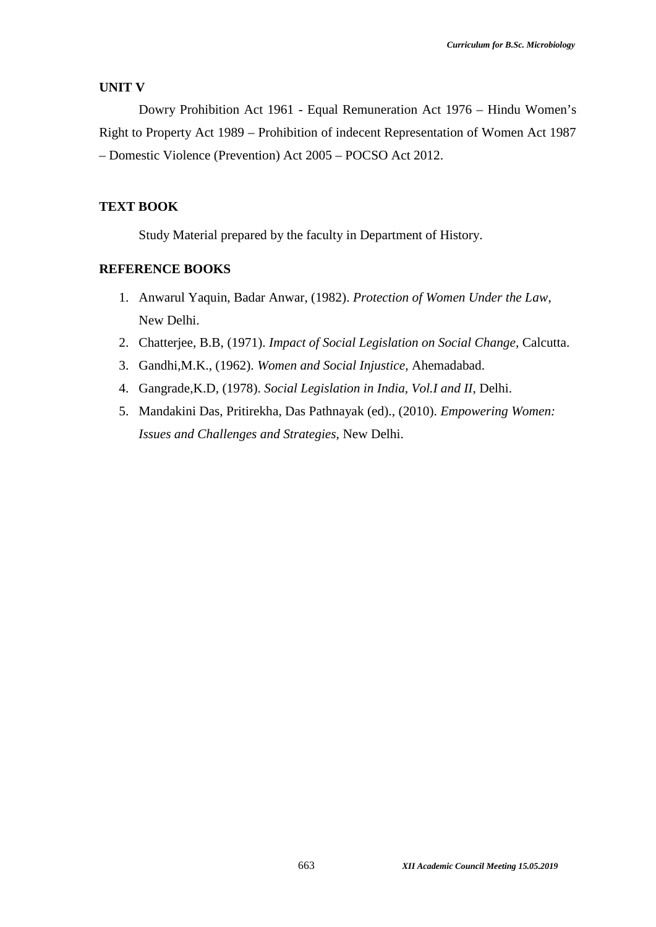#### **UNIT V**

Dowry Prohibition Act 1961 - Equal Remuneration Act 1976 – Hindu Women's Right to Property Act 1989 – Prohibition of indecent Representation of Women Act 1987 – Domestic Violence (Prevention) Act 2005 – POCSO Act 2012.

#### **TEXT BOOK**

Study Material prepared by the faculty in Department of History.

- 1. Anwarul Yaquin, Badar Anwar, (1982). *Protection of Women Under the Law*, New Delhi.
- 2. Chatterjee, B.B, (1971). *Impact of Social Legislation on Social Change,* Calcutta.
- 3. Gandhi,M.K., (1962). *Women and Social Injustice,* Ahemadabad.
- 4. Gangrade,K.D, (1978). *Social Legislation in India, Vol.I and II,* Delhi.
- 5. Mandakini Das, Pritirekha, Das Pathnayak (ed)., (2010). *Empowering Women: Issues and Challenges and Strategies,* New Delhi.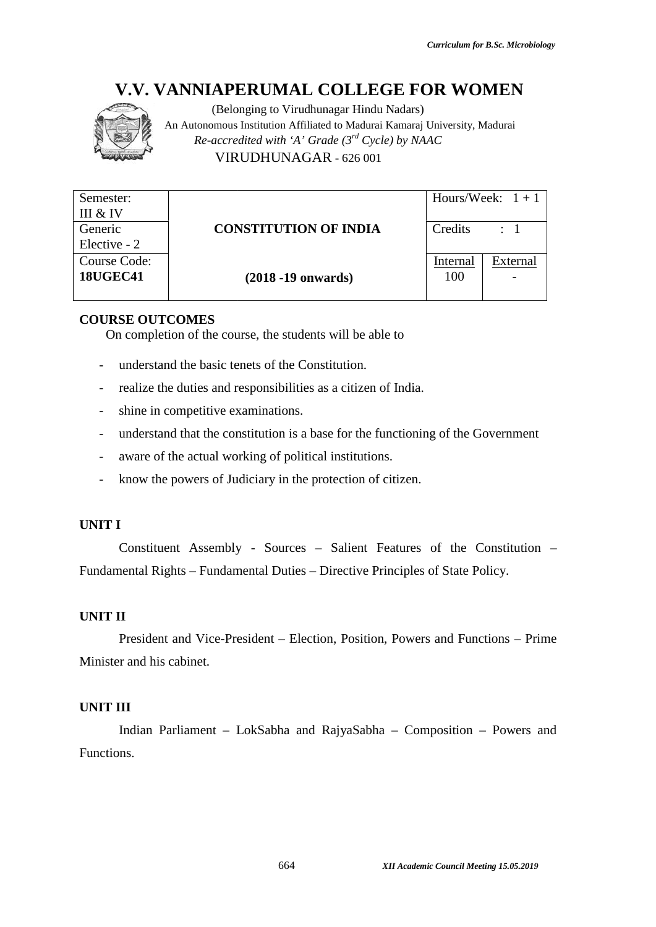

|                                                 | <b>V.V. VANNIAPERUMAL COLLEGE FOR WOMEN</b><br>(Belonging to Virudhunagar Hindu Nadars)<br>An Autonomous Institution Affiliated to Madurai Kamaraj University, Madurai<br>Re-accredited with 'A' Grade $(3^{rd}$ Cycle) by NAAC<br>VIRUDHUNAGAR - 626 001 |                        |                                         |
|-------------------------------------------------|-----------------------------------------------------------------------------------------------------------------------------------------------------------------------------------------------------------------------------------------------------------|------------------------|-----------------------------------------|
| Semester:                                       |                                                                                                                                                                                                                                                           |                        | Hours/Week: $1 + 1$                     |
| III & IV<br>Generic                             | <b>CONSTITUTION OF INDIA</b>                                                                                                                                                                                                                              | Credits                | $\therefore$ 1                          |
| Elective - 2<br>Course Code:<br><b>18UGEC41</b> | $(2018 - 19)$ onwards)                                                                                                                                                                                                                                    | <b>Internal</b><br>100 | <b>External</b>                         |
| <b>COURSE OUTCOMES</b>                          | On completion of the course, the students will be able to                                                                                                                                                                                                 |                        |                                         |
|                                                 | understand the basic tenets of the Constitution.                                                                                                                                                                                                          |                        |                                         |
| $\overline{\phantom{0}}$                        | realize the duties and responsibilities as a citizen of India.                                                                                                                                                                                            |                        |                                         |
|                                                 | shine in competitive examinations.                                                                                                                                                                                                                        |                        |                                         |
|                                                 | understand that the constitution is a base for the functioning of the Government                                                                                                                                                                          |                        |                                         |
| $\qquad \qquad \blacksquare$                    | aware of the actual working of political institutions.                                                                                                                                                                                                    |                        |                                         |
| -                                               | know the powers of Judiciary in the protection of citizen.                                                                                                                                                                                                |                        |                                         |
| <b>UNIT I</b>                                   | Constituent Assembly - Sources – Salient Features of the Constitution –<br>Fundamental Rights - Fundamental Duties - Directive Principles of State Policy.                                                                                                |                        |                                         |
| <b>UNIT II</b>                                  |                                                                                                                                                                                                                                                           |                        |                                         |
| Minister and his cabinet.                       | President and Vice-President – Election, Position, Powers and Functions – Prime                                                                                                                                                                           |                        |                                         |
| <b>UNIT III</b>                                 |                                                                                                                                                                                                                                                           |                        |                                         |
|                                                 | Indian Parliament - LokSabha and RajyaSabha - Composition - Powers and                                                                                                                                                                                    |                        |                                         |
| Functions.                                      |                                                                                                                                                                                                                                                           |                        |                                         |
|                                                 |                                                                                                                                                                                                                                                           |                        |                                         |
|                                                 |                                                                                                                                                                                                                                                           |                        |                                         |
|                                                 | 664                                                                                                                                                                                                                                                       |                        | XII Academic Council Meeting 15.05.2019 |

#### **COURSE OUTCOMES**

- understand the basic tenets of the Constitution.
- realize the duties and responsibilities as a citizen of India.
- shine in competitive examinations.
- understand that the constitution is a base for the functioning of the Government
- aware of the actual working of political institutions.
- know the powers of Judiciary in the protection of citizen.

# **UNIT I**

#### **UNIT II**

#### **UNIT III**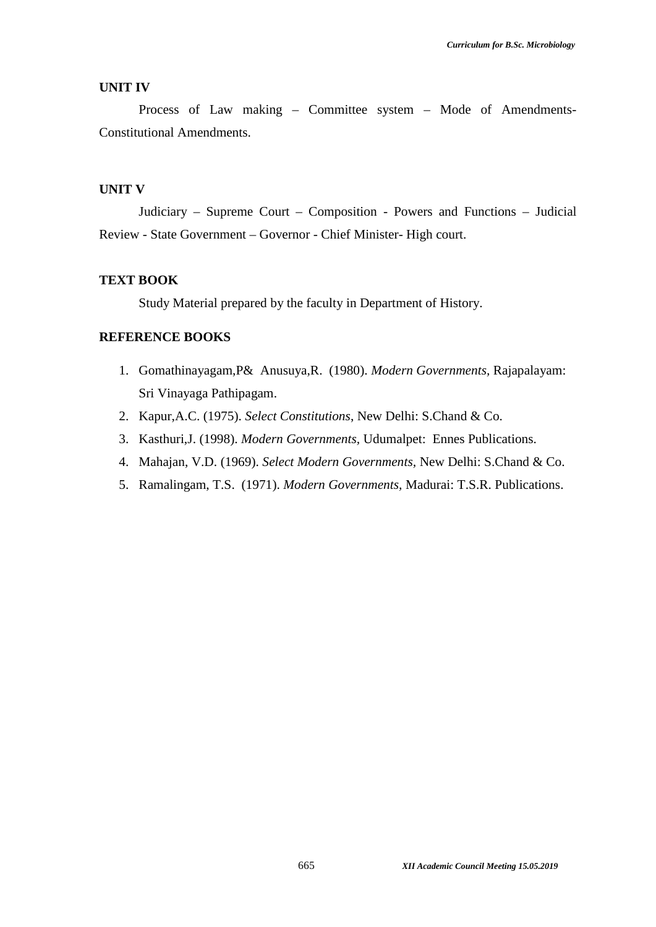#### **UNIT IV**

Process of Law making – Committee system – Mode of Amendments-Constitutional Amendments.

## **UNIT V**

Judiciary – Supreme Court – Composition - Powers and Functions – Judicial Review - State Government – Governor - Chief Minister- High court.

#### **TEXT BOOK**

Study Material prepared by the faculty in Department of History.

- 1. Gomathinayagam,P& Anusuya,R. (1980). *Modern Governments,* Rajapalayam: Sri Vinayaga Pathipagam.
- 2. Kapur,A.C. (1975). *Select Constitutions*, New Delhi: S.Chand & Co.
- 3. Kasthuri,J. (1998). *Modern Governments,* Udumalpet: Ennes Publications.
- 4. Mahajan, V.D. (1969). *Select Modern Governments,* New Delhi: S.Chand & Co.
- 5. Ramalingam, T.S. (1971). *Modern Governments,* Madurai: T.S.R. Publications.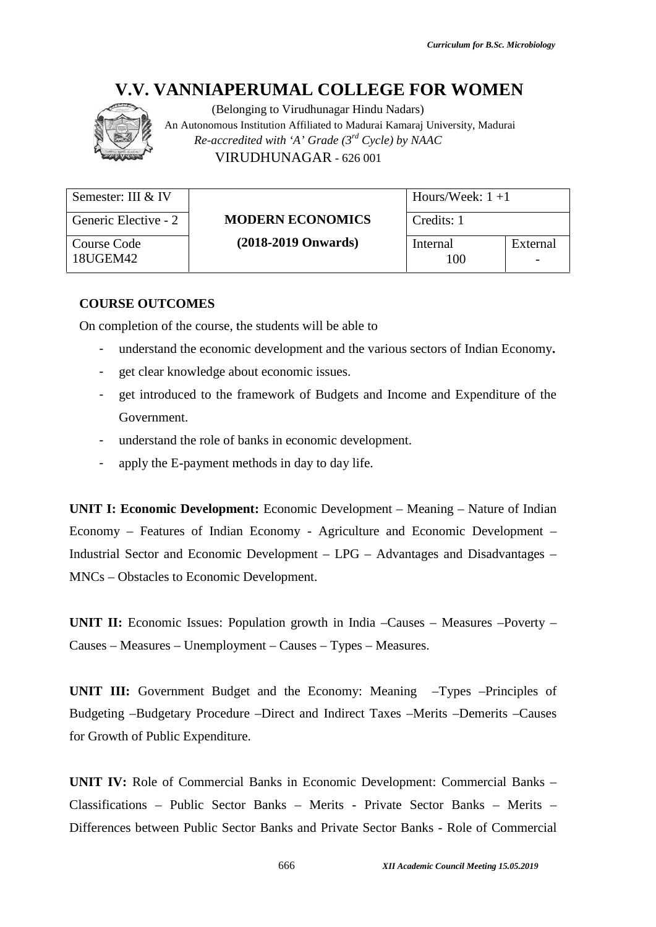

|                                                                        | V.V. VANNIAPERUMAL COLLEGE FOR WOMEN<br>(Belonging to Virudhunagar Hindu Nadars)<br>An Autonomous Institution Affiliated to Madurai Kamaraj University, Madurai<br>Re-accredited with 'A' Grade $(3^{rd}$ Cycle) by NAAC<br>VIRUDHUNAGAR - 626 001                                                                                                                                    |                                         |          |
|------------------------------------------------------------------------|---------------------------------------------------------------------------------------------------------------------------------------------------------------------------------------------------------------------------------------------------------------------------------------------------------------------------------------------------------------------------------------|-----------------------------------------|----------|
| Semester: III & IV                                                     |                                                                                                                                                                                                                                                                                                                                                                                       | Hours/Week: $1+1$                       |          |
| Generic Elective - 2                                                   | <b>MODERN ECONOMICS</b>                                                                                                                                                                                                                                                                                                                                                               | Credits: 1                              |          |
| <b>Course Code</b><br>18UGEM42                                         | $(2018-2019$ Onwards)                                                                                                                                                                                                                                                                                                                                                                 | Internal<br>100                         | External |
| <b>COURSE OUTCOMES</b><br>$\overline{\phantom{0}}$<br>Government.<br>۳ | On completion of the course, the students will be able to<br>understand the economic development and the various sectors of Indian Economy.<br>get clear knowledge about economic issues.<br>get introduced to the framework of Budgets and Income and Expenditure of the<br>understand the role of banks in economic development.<br>apply the E-payment methods in day to day life. |                                         |          |
|                                                                        | <b>UNIT I: Economic Development:</b> Economic Development – Meaning – Nature of Indian<br>Economy – Features of Indian Economy - Agriculture and Economic Development –<br>Industrial Sector and Economic Development – LPG – Advantages and Disadvantages –<br>MNCs - Obstacles to Economic Development.                                                                             |                                         |          |
|                                                                        | <b>UNIT II:</b> Economic Issues: Population growth in India $-$ Causes $-$ Measures $-$ Poverty $-$<br>Causes – Measures – Unemployment – Causes – Types – Measures.                                                                                                                                                                                                                  |                                         |          |
| for Growth of Public Expenditure.                                      | <b>UNIT III:</b> Government Budget and the Economy: Meaning -Types -Principles of<br>Budgeting -Budgetary Procedure -Direct and Indirect Taxes -Merits -Demerits -Causes                                                                                                                                                                                                              |                                         |          |
|                                                                        | UNIT IV: Role of Commercial Banks in Economic Development: Commercial Banks -<br>Classifications - Public Sector Banks - Merits - Private Sector Banks - Merits -<br>Differences between Public Sector Banks and Private Sector Banks - Role of Commercial<br>666                                                                                                                     | XII Academic Council Meeting 15.05.2019 |          |

#### **COURSE OUTCOMES**

- understand the economic development and the various sectors of Indian Economy**.**
- get clear knowledge about economic issues.
- get introduced to the framework of Budgets and Income and Expenditure of the Government.
- understand the role of banks in economic development.
- apply the E-payment methods in day to day life.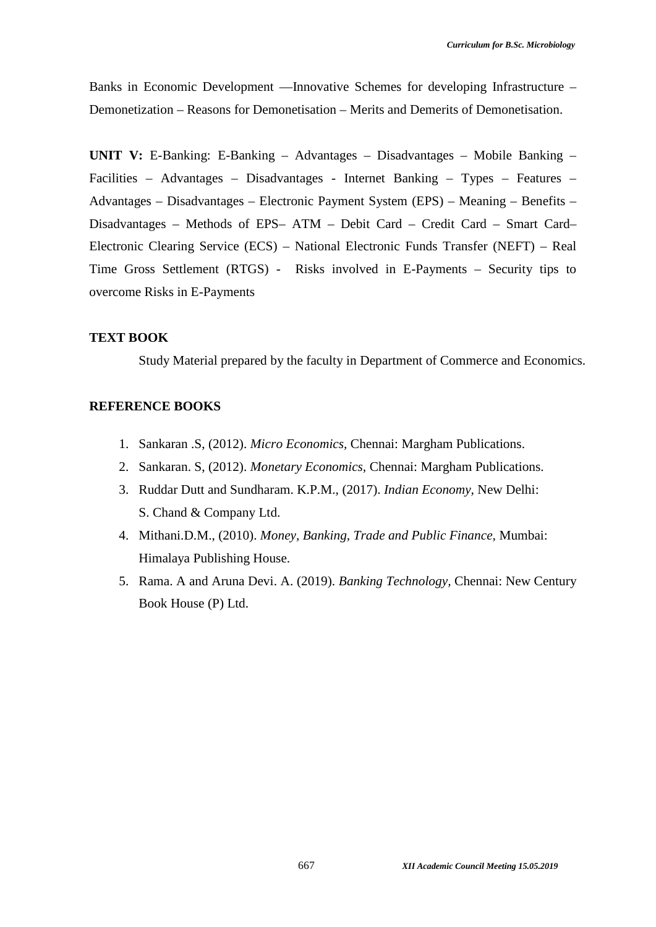Banks in Economic Development ––Innovative Schemes for developing Infrastructure – Demonetization – Reasons for Demonetisation – Merits and Demerits of Demonetisation.

**UNIT V:** E-Banking: E-Banking – Advantages – Disadvantages – Mobile Banking – Facilities – Advantages – Disadvantages - Internet Banking – Types – Features – Advantages – Disadvantages – Electronic Payment System (EPS) – Meaning – Benefits – Disadvantages – Methods of EPS– ATM – Debit Card – Credit Card – Smart Card– Electronic Clearing Service (ECS) – National Electronic Funds Transfer (NEFT) – Real Time Gross Settlement (RTGS) - Risks involved in E-Payments – Security tips to overcome Risks in E-Payments

#### **TEXT BOOK**

Study Material prepared by the faculty in Department of Commerce and Economics.

- 1. Sankaran .S, (2012). *Micro Economics,* Chennai: Margham Publications.
- 2. Sankaran. S, (2012). *Monetary Economics,* Chennai: Margham Publications.
- 3. Ruddar Dutt and Sundharam. K.P.M., (2017). *Indian Economy,* New Delhi: S. Chand & Company Ltd.
- 4. Mithani.D.M., (2010). *Money, Banking, Trade and Public Finance,* Mumbai: Himalaya Publishing House.
- 5. Rama. A and Aruna Devi. A. (2019). *Banking Technology,* Chennai: New Century Book House (P) Ltd.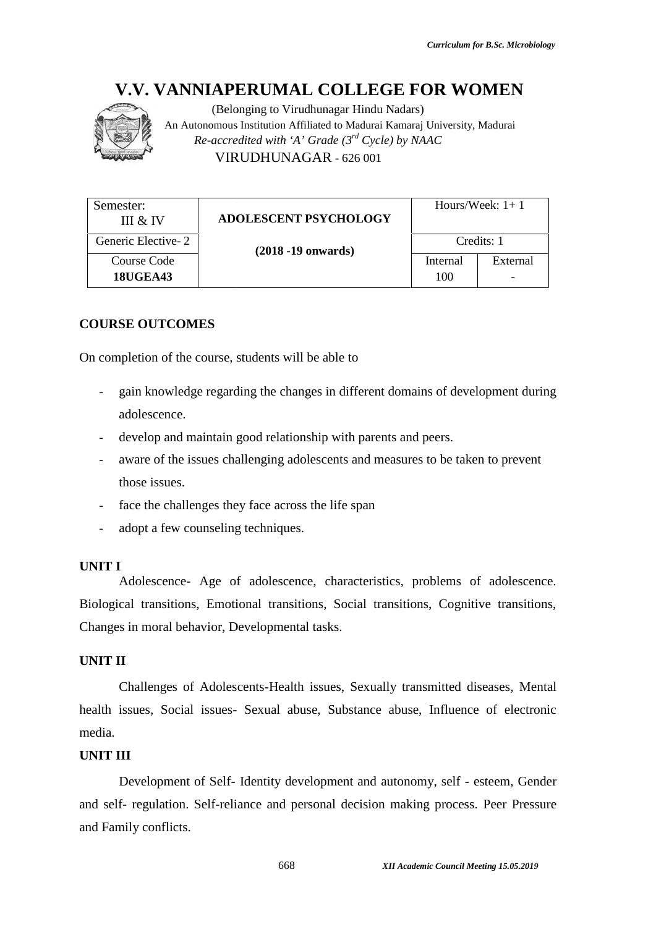

|                                | <b>V.V. VANNIAPERUMAL COLLEGE FOR WOMEN</b><br>(Belonging to Virudhunagar Hindu Nadars)<br>An Autonomous Institution Affiliated to Madurai Kamaraj University, Madurai<br>Re-accredited with 'A' Grade ( $3^{rd}$ Cycle) by NAAC<br>VIRUDHUNAGAR - 626 001                                                                                                                                |                                         |                   |
|--------------------------------|-------------------------------------------------------------------------------------------------------------------------------------------------------------------------------------------------------------------------------------------------------------------------------------------------------------------------------------------------------------------------------------------|-----------------------------------------|-------------------|
| Semester:                      |                                                                                                                                                                                                                                                                                                                                                                                           |                                         | Hours/Week: $1+1$ |
| III & IV                       | <b>ADOLESCENT PSYCHOLOGY</b>                                                                                                                                                                                                                                                                                                                                                              |                                         |                   |
| Generic Elective-2             | $(2018 - 19)$ onwards)                                                                                                                                                                                                                                                                                                                                                                    |                                         | Credits: 1        |
| Course Code<br><b>18UGEA43</b> |                                                                                                                                                                                                                                                                                                                                                                                           | Internal<br>100                         | External          |
| adolescence.<br>those issues.  | On completion of the course, students will be able to<br>gain knowledge regarding the changes in different domains of development during<br>develop and maintain good relationship with parents and peers.<br>aware of the issues challenging adolescents and measures to be taken to prevent<br>face the challenges they face across the life span<br>adopt a few counseling techniques. |                                         |                   |
| JNIT I                         | Adolescence- Age of adolescence, characteristics, problems of adolescence.<br>Biological transitions, Emotional transitions, Social transitions, Cognitive transitions,<br>Changes in moral behavior, Developmental tasks.                                                                                                                                                                |                                         |                   |
| <b>JNIT II</b>                 |                                                                                                                                                                                                                                                                                                                                                                                           |                                         |                   |
| nedia.                         | Challenges of Adolescents-Health issues, Sexually transmitted diseases, Mental<br>ealth issues, Social issues- Sexual abuse, Substance abuse, Influence of electronic                                                                                                                                                                                                                     |                                         |                   |
| JNIT III                       |                                                                                                                                                                                                                                                                                                                                                                                           |                                         |                   |
|                                | Development of Self- Identity development and autonomy, self - esteem, Gender                                                                                                                                                                                                                                                                                                             |                                         |                   |
|                                | and self- regulation. Self-reliance and personal decision making process. Peer Pressure                                                                                                                                                                                                                                                                                                   |                                         |                   |
| and Family conflicts.          |                                                                                                                                                                                                                                                                                                                                                                                           |                                         |                   |
|                                | 668                                                                                                                                                                                                                                                                                                                                                                                       | XII Academic Council Meeting 15.05.2019 |                   |

## **COURSE OUTCOMES**

- gain knowledge regarding the changes in different domains of development during adolescence. course, students will be able to<br>ge regarding the changes in different domains of devel<br>aintain good relationship with parents and peers.
- develop and maintain good relationship with parents and peers.
- aware of the issues challenging adolescents and measures to be taken to prevent those issues.
- face the challenges they face across the life span
- adopt a few counseling techniques.

#### **UNIT I**

#### **UNIT II**

## **UNIT III**

Development of Self- Identity development and autonomy, self - esteem, Gender and self- regulation. Self-reliance and personal decision making process. Peer Pressure and and Family conflicts.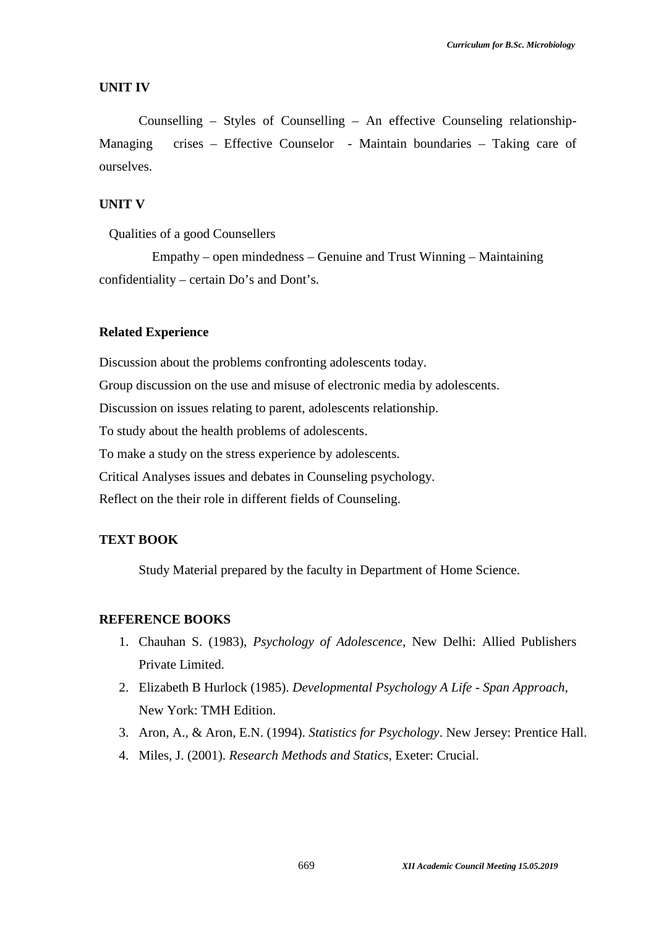#### **UNIT IV**

Counselling – Styles of Counselling – An effective Counseling relationship- Managing crises – Effective Counselor - Maintain boundaries – Taking care of ourselves.

# **UNIT V**

Qualities of a good Counsellers

Empathy – open mindedness – Genuine and Trust Winning – Maintaining confidentiality – certain Do's and Dont's.

#### **Related Experience**

Discussion about the problems confronting adolescents today. Group discussion on the use and misuse of electronic media by adolescents. Discussion on issues relating to parent, adolescents relationship. To study about the health problems of adolescents. To make a study on the stress experience by adolescents. Critical Analyses issues and debates in Counseling psychology. Reflect on the their role in different fields of Counseling.

# **TEXT BOOK**

Study Material prepared by the faculty in Department of Home Science.

- 1. Chauhan S. (1983), *Psychology of Adolescence*, New Delhi: Allied Publishers Private Limited.
- 2. Elizabeth B Hurlock (1985). *Developmental Psychology A Life - Span Approach*, New York: TMH Edition.
- 3. Aron, A., & Aron, E.N. (1994). *Statistics for Psychology*. New Jersey: Prentice Hall.
- 4. Miles, J. (2001). *Research Methods and Statics,* Exeter: Crucial.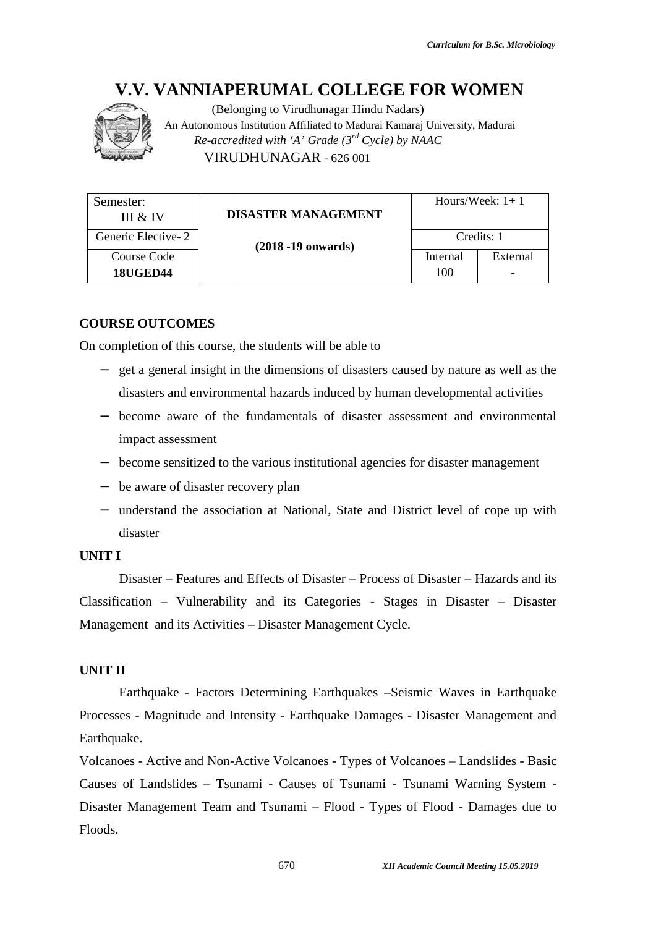

|                                | <b>V.V. VANNIAPERUMAL COLLEGE FOR WOMEN</b><br>(Belonging to Virudhunagar Hindu Nadars)<br>An Autonomous Institution Affiliated to Madurai Kamaraj University, Madurai<br>Re-accredited with 'A' Grade $(3^{rd}$ Cycle) by NAAC<br>VIRUDHUNAGAR - 626 001 |                                         |                   |
|--------------------------------|-----------------------------------------------------------------------------------------------------------------------------------------------------------------------------------------------------------------------------------------------------------|-----------------------------------------|-------------------|
| Semester:<br>III & IV          | <b>DISASTER MANAGEMENT</b>                                                                                                                                                                                                                                |                                         | Hours/Week: $1+1$ |
| Generic Elective-2             |                                                                                                                                                                                                                                                           |                                         | Credits: 1        |
| Course Code<br><b>18UGED44</b> | $(2018 - 19)$ onwards)                                                                                                                                                                                                                                    | Internal<br>100                         | External          |
| <b>COURSE OUTCOMES</b>         | On completion of this course, the students will be able to                                                                                                                                                                                                |                                         |                   |
|                                | get a general insight in the dimensions of disasters caused by nature as well as the                                                                                                                                                                      |                                         |                   |
|                                | disasters and environmental hazards induced by human developmental activities                                                                                                                                                                             |                                         |                   |
|                                | become aware of the fundamentals of disaster assessment and environmental                                                                                                                                                                                 |                                         |                   |
| impact assessment              |                                                                                                                                                                                                                                                           |                                         |                   |
|                                | become sensitized to the various institutional agencies for disaster management                                                                                                                                                                           |                                         |                   |
|                                | be aware of disaster recovery plan                                                                                                                                                                                                                        |                                         |                   |
| disaster                       | understand the association at National, State and District level of cope up with                                                                                                                                                                          |                                         |                   |
| <b>JNIT I</b>                  |                                                                                                                                                                                                                                                           |                                         |                   |
|                                | Disaster – Features and Effects of Disaster – Process of Disaster – Hazards and its                                                                                                                                                                       |                                         |                   |
|                                | Classification – Vulnerability and its Categories - Stages in Disaster – Disaster                                                                                                                                                                         |                                         |                   |
|                                | Management and its Activities - Disaster Management Cycle.                                                                                                                                                                                                |                                         |                   |
| <b>JNIT II</b>                 |                                                                                                                                                                                                                                                           |                                         |                   |
|                                | Earthquake - Factors Determining Earthquakes - Seismic Waves in Earthquake                                                                                                                                                                                |                                         |                   |
|                                | Processes - Magnitude and Intensity - Earthquake Damages - Disaster Management and                                                                                                                                                                        |                                         |                   |
| Earthquake.                    |                                                                                                                                                                                                                                                           |                                         |                   |
|                                | Volcanoes - Active and Non-Active Volcanoes - Types of Volcanoes - Landslides - Basic                                                                                                                                                                     |                                         |                   |
|                                | Causes of Landslides – Tsunami - Causes of Tsunami - Tsunami Warning System -                                                                                                                                                                             |                                         |                   |
| Floods.                        | Disaster Management Team and Tsunami – Flood - Types of Flood - Damages due to                                                                                                                                                                            |                                         |                   |
|                                | 670                                                                                                                                                                                                                                                       | XII Academic Council Meeting 15.05.2019 |                   |

## **COURSE OUTCOMES**

- get a general insight in the dimensions of disasters caused by nature as well as the disasters and environmental hazards induced by human developmental activities
- become aware of the fundamentals of disaster assessment and environmental impact assessment
- become sensitized to the various institutional agencies for disaster management
- be aware of disaster recovery plan
- understand the association at National, State and District level of cope up with disaster

# **UNIT I**

## **UNIT II**

Volcanoes - Active and Non-Active Volcanoes - Types of Volcanoes - Landslides - Basic Causes of Landslides – Tsunami - Causes of Tsunami - Tsunami Warning System -Disaster Management Team and Tsunami – Flood - Types of Flood - Damages due to Floods.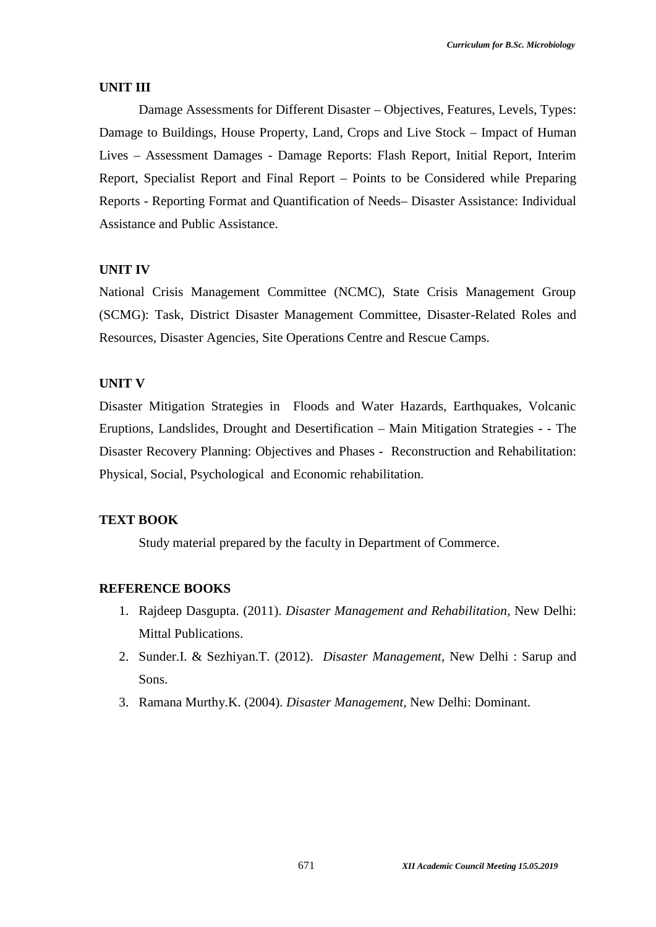#### **UNIT III**

Damage Assessments for Different Disaster – Objectives, Features, Levels, Types: Damage to Buildings, House Property, Land, Crops and Live Stock – Impact of Human Lives – Assessment Damages - Damage Reports: Flash Report, Initial Report, Interim Report, Specialist Report and Final Report – Points to be Considered while Preparing Reports - Reporting Format and Quantification of Needs– Disaster Assistance: Individual Assistance and Public Assistance.

#### **UNIT IV**

National Crisis Management Committee (NCMC), State Crisis Management Group (SCMG): Task, District Disaster Management Committee, Disaster-Related Roles and Resources, Disaster Agencies, Site Operations Centre and Rescue Camps.

#### **UNIT V**

Disaster Mitigation Strategies in Floods and Water Hazards, Earthquakes, Volcanic Eruptions, Landslides, Drought and Desertification – Main Mitigation Strategies - - The Disaster Recovery Planning: Objectives and Phases - Reconstruction and Rehabilitation: Physical, Social, Psychological and Economic rehabilitation.

#### **TEXT BOOK**

Study material prepared by the faculty in Department of Commerce.

- 1. Rajdeep Dasgupta. (2011). *Disaster Management and Rehabilitation*, New Delhi: Mittal Publications.
- 2. Sunder.I. & Sezhiyan.T. (2012). *Disaster Management*, New Delhi : Sarup and Sons.
- 3. Ramana Murthy.K. (2004). *Disaster Management,* New Delhi: Dominant.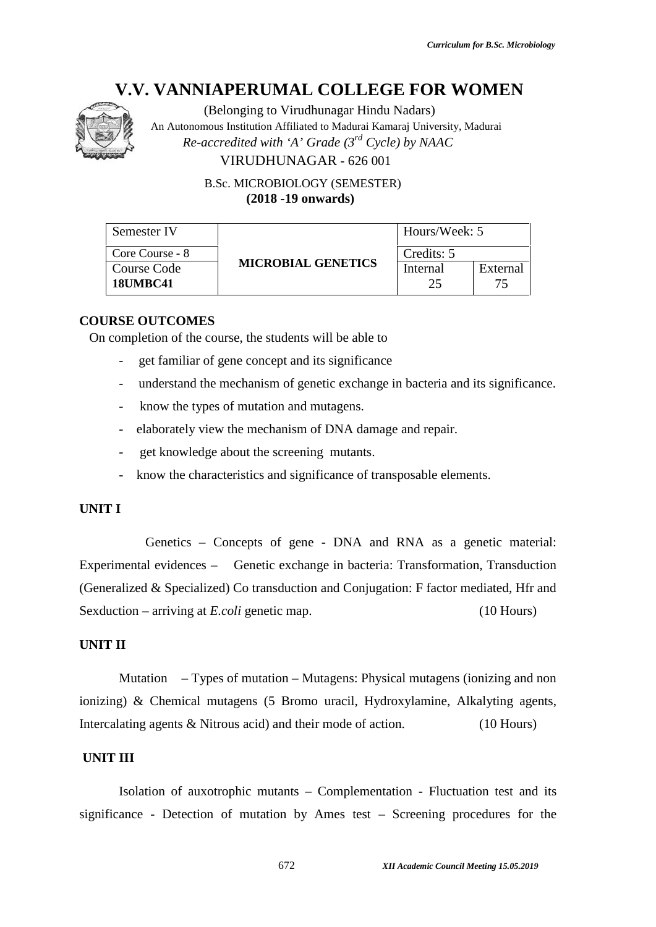

(Belonging to Virudhunagar Hindu Nadars) An Autonomous Institution Affiliated to Madurai Kamaraj University, Madurai *Re-accredited with 'A' Grade (3rd Cycle) by NAAC* VIRUDHUNAGAR - 626 001

> B.Sc. MICROBIOLOGY (SEMESTER) **(2018 -19 onwards)**

| Semester IV                    | Hours/Week: 5             |                |                |
|--------------------------------|---------------------------|----------------|----------------|
| Core Course - 8                |                           | Credits: 5     |                |
| Course Code<br><b>18UMBC41</b> | <b>MICROBIAL GENETICS</b> | Internal<br>つら | External<br>75 |

#### **COURSE OUTCOMES**

On completion of the course, the students will be able to

- get familiar of gene concept and its significance
- understand the mechanism of genetic exchange in bacteria and its significance.
- know the types of mutation and mutagens.
- elaborately view the mechanism of DNA damage and repair.
- get knowledge about the screening mutants.
- know the characteristics and significance of transposable elements.

#### **UNIT I**

Genetics – Concepts of gene - DNA and RNA as a genetic material: Experimental evidences – Genetic exchange in bacteria: Transformation, Transduction (Generalized & Specialized) Co transduction and Conjugation: F factor mediated, Hfr and Sexduction – arriving at *E.coli* genetic map. (10 Hours) V.V. VANNIAPER UMAL COLLEGE FOR WOMEN<br>
An Automomous (Belonging to Virothhungen Hindu Nolate)<br>
An Automomous (Belonging to Virothhungen Hindu Nolate)<br>
An Automomous (Michael College) by MAAC<br>
WRUDHUNAGGAR - 626 001<br>
B.S.:

## **UNIT II**

Mutation – Types of mutation – Mutagens: Physical mutagens (ionizing and non ionizing) & Chemical mutagens (5 Bromo uracil, Hydroxylamine, Alkalyting agents, Intercalating agents & Nitrous acid) and their mode of action. (10 Hours)

#### **UNIT III**

Isolation of auxotrophic mutants – Complementation - Fluctuation test and its significance - Detection of mutation by Ames test – Screening procedures for the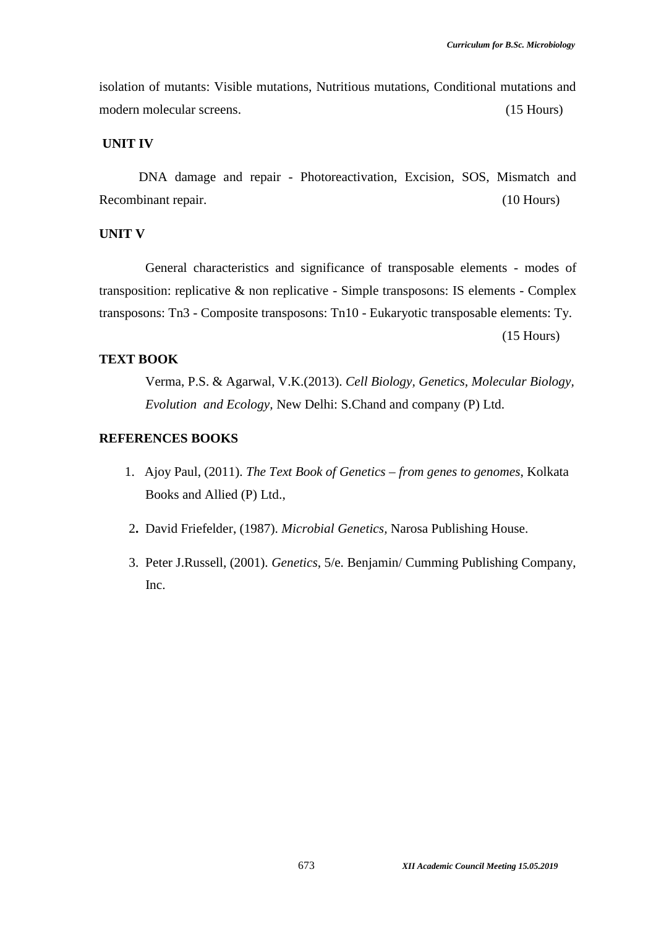isolation of mutants: Visible mutations, Nutritious mutations, Conditional mutations and modern molecular screens. (15 Hours)

#### **UNIT IV**

DNA damage and repair - Photoreactivation, Excision, SOS, Mismatch and Recombinant repair. (10 Hours)

#### **UNIT V**

General characteristics and significance of transposable elements - modes of transposition: replicative & non replicative - Simple transposons: IS elements - Complex transposons: Tn3 - Composite transposons: Tn10 - Eukaryotic transposable elements: Ty. (15 Hours)

#### **TEXT BOOK**

Verma, P.S. & Agarwal, V.K.(2013). *Cell Biology, Genetics, Molecular Biology, Evolution and Ecology,* New Delhi: S.Chand and company (P) Ltd.

- 1. Ajoy Paul, (2011). *The Text Book of Genetics – from genes to genomes*, Kolkata Books and Allied (P) Ltd.,
- 2**.** David Friefelder, (1987). *Microbial Genetics,* Narosa Publishing House.
- 3. Peter J.Russell, (2001). *Genetics*, 5/e. Benjamin/ Cumming Publishing Company, Inc.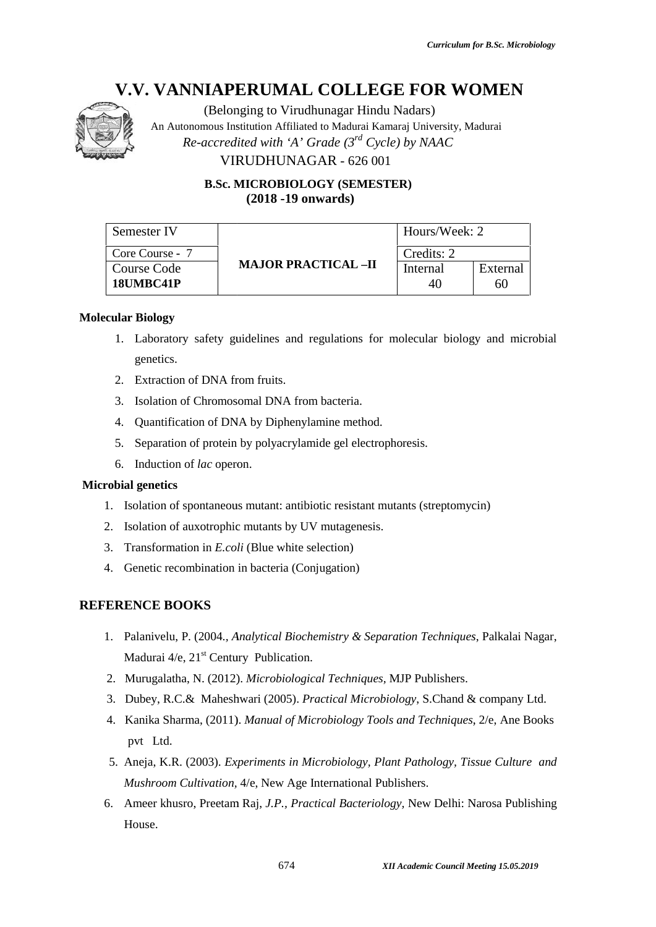

# **B.Sc. MICROBIOLOGY (SEMESTER) (2018 -19 onwards)**

|                                      | <b>V.V. VANNIAPERUMAL COLLEGE FOR WOMEN</b>                                                                                                                                                                |                                         |                |
|--------------------------------------|------------------------------------------------------------------------------------------------------------------------------------------------------------------------------------------------------------|-----------------------------------------|----------------|
|                                      | (Belonging to Virudhunagar Hindu Nadars)<br>An Autonomous Institution Affiliated to Madurai Kamaraj University, Madurai<br>Re-accredited with 'A' Grade $(3^{rd}$ Cycle) by NAAC<br>VIRUDHUNAGAR - 626 001 |                                         |                |
|                                      | <b>B.Sc. MICROBIOLOGY (SEMESTER)</b><br>$(2018 - 19)$ onwards)                                                                                                                                             |                                         |                |
| Semester IV                          |                                                                                                                                                                                                            | Hours/Week: 2                           |                |
| Core Course - 7                      |                                                                                                                                                                                                            | Credits: 2                              |                |
| <b>Course Code</b><br>18UMBC41P      | <b>MAJOR PRACTICAL-II</b>                                                                                                                                                                                  | Internal<br>40                          | External<br>60 |
| ecular Biology                       |                                                                                                                                                                                                            |                                         |                |
| 1.                                   | Laboratory safety guidelines and regulations for molecular biology and microbial                                                                                                                           |                                         |                |
| genetics.                            |                                                                                                                                                                                                            |                                         |                |
| Extraction of DNA from fruits.<br>2. |                                                                                                                                                                                                            |                                         |                |
| 3.                                   | Isolation of Chromosomal DNA from bacteria.                                                                                                                                                                |                                         |                |
| 4.                                   | Quantification of DNA by Diphenylamine method.                                                                                                                                                             |                                         |                |
| 5.                                   | Separation of protein by polyacrylamide gel electrophoresis.                                                                                                                                               |                                         |                |
| 6.<br>Induction of lac operon.       |                                                                                                                                                                                                            |                                         |                |
| robial genetics                      |                                                                                                                                                                                                            |                                         |                |
| 1.                                   | Isolation of spontaneous mutant: antibiotic resistant mutants (streptomycin)                                                                                                                               |                                         |                |
| 2.                                   | Isolation of auxotrophic mutants by UV mutagenesis.                                                                                                                                                        |                                         |                |
| 3.                                   | Transformation in <i>E.coli</i> (Blue white selection)                                                                                                                                                     |                                         |                |
|                                      | 4. Genetic recombination in bacteria (Conjugation)                                                                                                                                                         |                                         |                |
| <b>FERENCE BOOKS</b>                 |                                                                                                                                                                                                            |                                         |                |
|                                      | 1. Palanivelu, P. (2004., Analytical Biochemistry & Separation Techniques, Palkalai Nagar,                                                                                                                 |                                         |                |
|                                      | Madurai $4/e$ , $21st$ Century Publication.                                                                                                                                                                |                                         |                |
|                                      | 2. Murugalatha, N. (2012). Microbiological Techniques, MJP Publishers.                                                                                                                                     |                                         |                |
| 3.                                   | Dubey, R.C.& Maheshwari (2005). Practical Microbiology, S.Chand & company Ltd.                                                                                                                             |                                         |                |
|                                      | 4. Kanika Sharma, (2011). Manual of Microbiology Tools and Techniques, 2/e, Ane Books                                                                                                                      |                                         |                |
| pvt Ltd.                             |                                                                                                                                                                                                            |                                         |                |
|                                      | 5. Aneja, K.R. (2003). Experiments in Microbiology, Plant Pathology, Tissue Culture and                                                                                                                    |                                         |                |
|                                      | Mushroom Cultivation, 4/e, New Age International Publishers.                                                                                                                                               |                                         |                |
| 6.                                   | Ameer khusro, Preetam Raj, J.P., Practical Bacteriology, New Delhi: Narosa Publishing                                                                                                                      |                                         |                |
| House.                               |                                                                                                                                                                                                            |                                         |                |
|                                      | 674                                                                                                                                                                                                        | XII Academic Council Meeting 15.05.2019 |                |

#### **Molecular Biology**

- 1. Laboratory safety guidelines and regulations for molecular biology and microbial genetics.
- 2. Extraction of DNA from fruits.
- 3. Isolation of Chromosomal DNA from bacteria.
- 4. Quantification of DNA by Diphenylamine method.
- 5. Separation of protein by polyacrylamide gel electrophoresis.
- 6. Induction of *lac* operon.

#### **Microbial genetics**

- 1. Isolation of spontaneous mutant: antibiotic resistant mutants (streptomycin)
- 2. Isolation of auxotrophic mutants by UV mutagenesis.
- 3. Transformation in *E.coli* (Blue white selection)
- 4. Genetic recombination in bacteria (Conjugation)

- 1. Palanivelu, P. (2004., Analytical Biochemistry & Separation Techniques, Palkalai Nagar, Madurai  $4/e$ ,  $21<sup>st</sup>$  Century Publication.
- 2. Murugalatha, N. (2012). *Microbiological Techniques,* MJP Publishers. MJP
- 3. Dubey, R.C.& Maheshwari (2005). *Practical Microbiology*, S.Chand & company Ltd.
- 4. Kanika Sharma, (2011). *Manual of Microbiology Tools and Techniques*, 2/e, Ane Books *and*pvt Ltd. Laboratory safety guidelines and regulations for molecular biology and microbial<br>genetics.<br>Extraction of DNA from fruits.<br>Location of Chromosomal DNA from bacteria.<br>Quantification of DNA by Diphenylamine method.<br>Separation
- 5. Aneja, K.R. (2003). *Experiments in Microbiology, Plant Pathology, Tissue Culture and Mushroom Cultivation,* 4/e, New Age International Publishers.
- 6. Ameer khusro, Preetam Raj, *J.P., Practical Bacteriology,* New Delhi: Narosa Publishing House.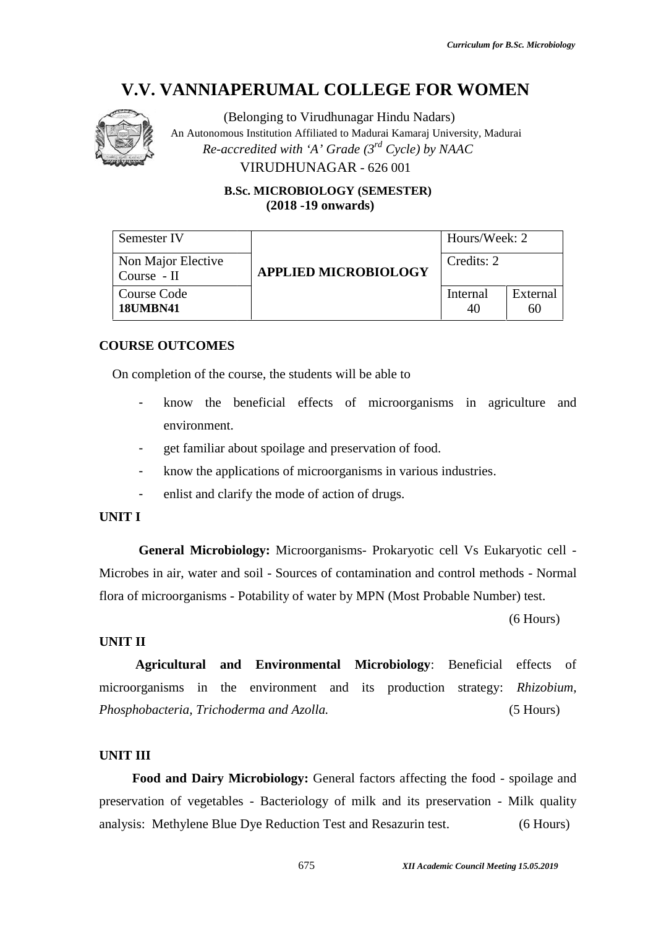

(Belonging to Virudhunagar Hindu Nadars) An Autonomous Institution Affiliated to Madurai Kamaraj University, Madurai *Re-accredited with 'A' Grade (3rd Cycle) by NAAC* VIRUDHUNAGAR - 626 001

| $(2018 - 19)$ onwards)<br>Semester IV<br>Hours/Week: 2<br>Non Major Elective<br>Credits: 2<br><b>APPLIED MICROBIOLOGY</b><br>Course - II<br>Internal<br>Course Code<br><b>18UMBN41</b><br>40<br>60<br><b>OURSE OUTCOMES</b><br>On completion of the course, the students will be able to<br>the beneficial effects of microorganisms in agriculture<br>know<br>environment.<br>get familiar about spoilage and preservation of food.<br>know the applications of microorganisms in various industries.<br>enlist and clarify the mode of action of drugs.<br>NIT I<br>General Microbiology: Microorganisms- Prokaryotic cell Vs Eukaryotic cell -<br>licrobes in air, water and soil - Sources of contamination and control methods - Normal<br>ora of microorganisms - Potability of water by MPN (Most Probable Number) test.<br>NIT II<br><b>Agricultural and Environmental Microbiology: Beneficial</b><br>icroorganisms in the environment and its production strategy:<br>hosphobacteria, Trichoderma and Azolla.<br>NIT III<br>Food and Dairy Microbiology: General factors affecting the food - spoilage and<br>reservation of vegetables - Bacteriology of milk and its preservation - Milk quality<br>nalysis: Methylene Blue Dye Reduction Test and Resazurin test. | <b>B.Sc. MICROBIOLOGY (SEMESTER)</b> |               |
|--------------------------------------------------------------------------------------------------------------------------------------------------------------------------------------------------------------------------------------------------------------------------------------------------------------------------------------------------------------------------------------------------------------------------------------------------------------------------------------------------------------------------------------------------------------------------------------------------------------------------------------------------------------------------------------------------------------------------------------------------------------------------------------------------------------------------------------------------------------------------------------------------------------------------------------------------------------------------------------------------------------------------------------------------------------------------------------------------------------------------------------------------------------------------------------------------------------------------------------------------------------------------------|--------------------------------------|---------------|
|                                                                                                                                                                                                                                                                                                                                                                                                                                                                                                                                                                                                                                                                                                                                                                                                                                                                                                                                                                                                                                                                                                                                                                                                                                                                                |                                      |               |
|                                                                                                                                                                                                                                                                                                                                                                                                                                                                                                                                                                                                                                                                                                                                                                                                                                                                                                                                                                                                                                                                                                                                                                                                                                                                                |                                      |               |
|                                                                                                                                                                                                                                                                                                                                                                                                                                                                                                                                                                                                                                                                                                                                                                                                                                                                                                                                                                                                                                                                                                                                                                                                                                                                                |                                      |               |
|                                                                                                                                                                                                                                                                                                                                                                                                                                                                                                                                                                                                                                                                                                                                                                                                                                                                                                                                                                                                                                                                                                                                                                                                                                                                                |                                      | External      |
|                                                                                                                                                                                                                                                                                                                                                                                                                                                                                                                                                                                                                                                                                                                                                                                                                                                                                                                                                                                                                                                                                                                                                                                                                                                                                |                                      |               |
|                                                                                                                                                                                                                                                                                                                                                                                                                                                                                                                                                                                                                                                                                                                                                                                                                                                                                                                                                                                                                                                                                                                                                                                                                                                                                |                                      |               |
|                                                                                                                                                                                                                                                                                                                                                                                                                                                                                                                                                                                                                                                                                                                                                                                                                                                                                                                                                                                                                                                                                                                                                                                                                                                                                |                                      |               |
|                                                                                                                                                                                                                                                                                                                                                                                                                                                                                                                                                                                                                                                                                                                                                                                                                                                                                                                                                                                                                                                                                                                                                                                                                                                                                |                                      |               |
|                                                                                                                                                                                                                                                                                                                                                                                                                                                                                                                                                                                                                                                                                                                                                                                                                                                                                                                                                                                                                                                                                                                                                                                                                                                                                |                                      | and           |
|                                                                                                                                                                                                                                                                                                                                                                                                                                                                                                                                                                                                                                                                                                                                                                                                                                                                                                                                                                                                                                                                                                                                                                                                                                                                                |                                      |               |
|                                                                                                                                                                                                                                                                                                                                                                                                                                                                                                                                                                                                                                                                                                                                                                                                                                                                                                                                                                                                                                                                                                                                                                                                                                                                                |                                      |               |
|                                                                                                                                                                                                                                                                                                                                                                                                                                                                                                                                                                                                                                                                                                                                                                                                                                                                                                                                                                                                                                                                                                                                                                                                                                                                                |                                      |               |
|                                                                                                                                                                                                                                                                                                                                                                                                                                                                                                                                                                                                                                                                                                                                                                                                                                                                                                                                                                                                                                                                                                                                                                                                                                                                                |                                      |               |
|                                                                                                                                                                                                                                                                                                                                                                                                                                                                                                                                                                                                                                                                                                                                                                                                                                                                                                                                                                                                                                                                                                                                                                                                                                                                                |                                      |               |
|                                                                                                                                                                                                                                                                                                                                                                                                                                                                                                                                                                                                                                                                                                                                                                                                                                                                                                                                                                                                                                                                                                                                                                                                                                                                                |                                      |               |
|                                                                                                                                                                                                                                                                                                                                                                                                                                                                                                                                                                                                                                                                                                                                                                                                                                                                                                                                                                                                                                                                                                                                                                                                                                                                                |                                      |               |
|                                                                                                                                                                                                                                                                                                                                                                                                                                                                                                                                                                                                                                                                                                                                                                                                                                                                                                                                                                                                                                                                                                                                                                                                                                                                                |                                      |               |
|                                                                                                                                                                                                                                                                                                                                                                                                                                                                                                                                                                                                                                                                                                                                                                                                                                                                                                                                                                                                                                                                                                                                                                                                                                                                                |                                      |               |
|                                                                                                                                                                                                                                                                                                                                                                                                                                                                                                                                                                                                                                                                                                                                                                                                                                                                                                                                                                                                                                                                                                                                                                                                                                                                                |                                      | $(6$ Hours)   |
|                                                                                                                                                                                                                                                                                                                                                                                                                                                                                                                                                                                                                                                                                                                                                                                                                                                                                                                                                                                                                                                                                                                                                                                                                                                                                |                                      |               |
|                                                                                                                                                                                                                                                                                                                                                                                                                                                                                                                                                                                                                                                                                                                                                                                                                                                                                                                                                                                                                                                                                                                                                                                                                                                                                |                                      | effects<br>of |
|                                                                                                                                                                                                                                                                                                                                                                                                                                                                                                                                                                                                                                                                                                                                                                                                                                                                                                                                                                                                                                                                                                                                                                                                                                                                                |                                      | Rhizobium,    |
|                                                                                                                                                                                                                                                                                                                                                                                                                                                                                                                                                                                                                                                                                                                                                                                                                                                                                                                                                                                                                                                                                                                                                                                                                                                                                |                                      | $(5$ Hours)   |
|                                                                                                                                                                                                                                                                                                                                                                                                                                                                                                                                                                                                                                                                                                                                                                                                                                                                                                                                                                                                                                                                                                                                                                                                                                                                                |                                      |               |
|                                                                                                                                                                                                                                                                                                                                                                                                                                                                                                                                                                                                                                                                                                                                                                                                                                                                                                                                                                                                                                                                                                                                                                                                                                                                                |                                      |               |
|                                                                                                                                                                                                                                                                                                                                                                                                                                                                                                                                                                                                                                                                                                                                                                                                                                                                                                                                                                                                                                                                                                                                                                                                                                                                                |                                      |               |
|                                                                                                                                                                                                                                                                                                                                                                                                                                                                                                                                                                                                                                                                                                                                                                                                                                                                                                                                                                                                                                                                                                                                                                                                                                                                                |                                      |               |
|                                                                                                                                                                                                                                                                                                                                                                                                                                                                                                                                                                                                                                                                                                                                                                                                                                                                                                                                                                                                                                                                                                                                                                                                                                                                                |                                      |               |
|                                                                                                                                                                                                                                                                                                                                                                                                                                                                                                                                                                                                                                                                                                                                                                                                                                                                                                                                                                                                                                                                                                                                                                                                                                                                                |                                      | $(6$ Hours)   |
| 675<br>XII Academic Council Meeting 15.05.2019                                                                                                                                                                                                                                                                                                                                                                                                                                                                                                                                                                                                                                                                                                                                                                                                                                                                                                                                                                                                                                                                                                                                                                                                                                 |                                      |               |

# **COURSE OUTCOMES**

- know the beneficial effects of microorganisms in agriculture and environment.
- get familiar about spoilage and preservation of food.
- know the applications of microorganisms in various industries.
- enlist and clarify the mode of action of drugs.

# **UNIT I**

# **UNIT II**

# **UNIT III**

**Food and Dairy Microbiology:** General factors affecting the food - spoilage and preservation of vegetables - Bacteriology of milk and its preservation - Milk quality analysis: Methylene Blue Dye Reduction Test and Resazurin test. (6 Hours)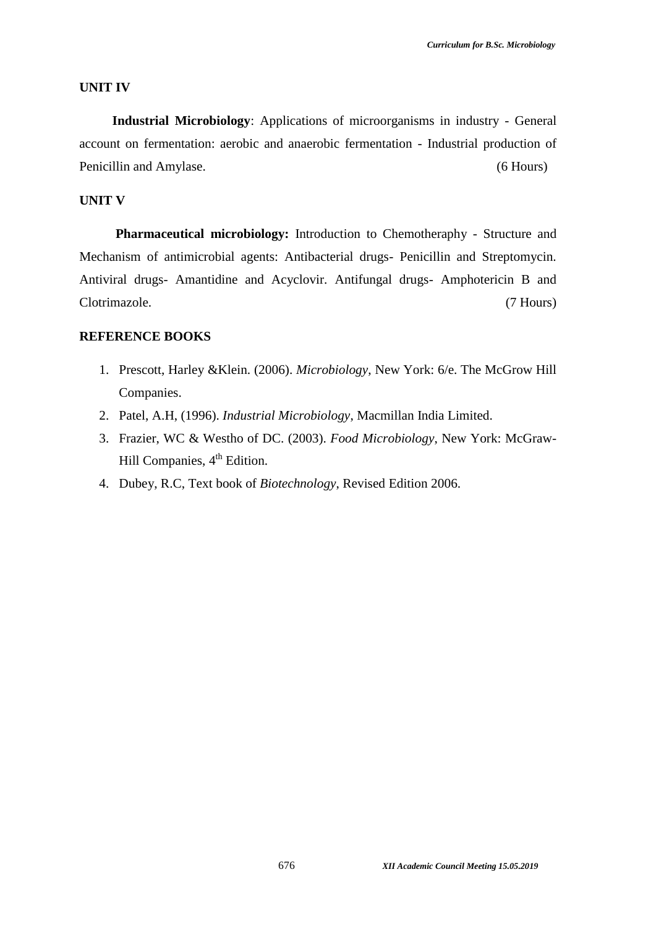#### **UNIT IV**

**Industrial Microbiology**: Applications of microorganisms in industry - General account on fermentation: aerobic and anaerobic fermentation - Industrial production of Penicillin and Amylase. (6 Hours)

# **UNIT V**

**Pharmaceutical microbiology:** Introduction to Chemotheraphy - Structure and Mechanism of antimicrobial agents: Antibacterial drugs- Penicillin and Streptomycin. Antiviral drugs- Amantidine and Acyclovir. Antifungal drugs- Amphotericin B and Clotrimazole. (7 Hours)

- 1. Prescott, Harley &Klein. (2006). *Microbiology*, New York: 6/e. The McGrow Hill Companies.
- 2. Patel, A.H, (1996). *Industrial Microbiology*, Macmillan India Limited.
- 3. Frazier, WC & Westho of DC. (2003). *Food Microbiology*, New York: McGraw- Hill Companies, 4<sup>th</sup> Edition.
- 4. Dubey, R.C, Text book of *Biotechnology*, Revised Edition 2006.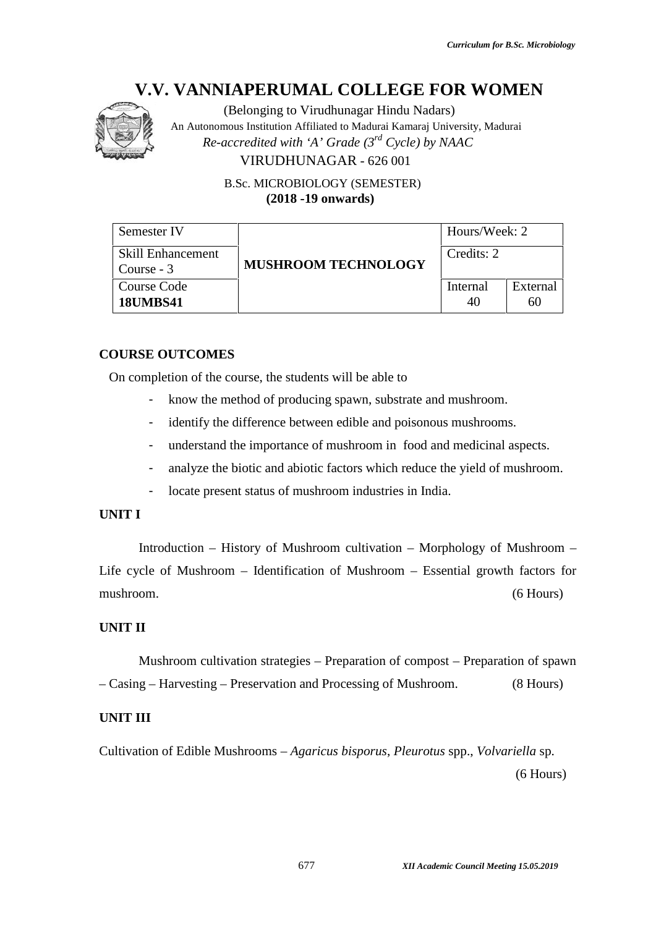

|                                        | <b>V.V. VANNIAPERUMAL COLLEGE FOR WOMEN</b>                                                                                                                                                                |                                         |                |
|----------------------------------------|------------------------------------------------------------------------------------------------------------------------------------------------------------------------------------------------------------|-----------------------------------------|----------------|
|                                        | (Belonging to Virudhunagar Hindu Nadars)<br>An Autonomous Institution Affiliated to Madurai Kamaraj University, Madurai<br>Re-accredited with 'A' Grade $(3^{rd}$ Cycle) by NAAC<br>VIRUDHUNAGAR - 626 001 |                                         |                |
|                                        | B.Sc. MICROBIOLOGY (SEMESTER)<br>$(2018 - 19)$ onwards)                                                                                                                                                    |                                         |                |
| Semester IV                            |                                                                                                                                                                                                            | Hours/Week: 2                           |                |
| <b>Skill Enhancement</b><br>Course - 3 | <b>MUSHROOM TECHNOLOGY</b>                                                                                                                                                                                 | Credits: 2                              |                |
| Course Code<br><b>18UMBS41</b>         |                                                                                                                                                                                                            | Internal<br>40                          | External<br>60 |
| <b>OURSE OUTCOMES</b>                  | On completion of the course, the students will be able to                                                                                                                                                  |                                         |                |
|                                        | know the method of producing spawn, substrate and mushroom.                                                                                                                                                |                                         |                |
| -                                      | identify the difference between edible and poisonous mushrooms.                                                                                                                                            |                                         |                |
| -                                      | understand the importance of mushroom in food and medicinal aspects.                                                                                                                                       |                                         |                |
| -                                      | analyze the biotic and abiotic factors which reduce the yield of mushroom.                                                                                                                                 |                                         |                |
|                                        | locate present status of mushroom industries in India.                                                                                                                                                     |                                         |                |
| NIT I                                  |                                                                                                                                                                                                            |                                         |                |
|                                        | Introduction – History of Mushroom cultivation – Morphology of Mushroom –                                                                                                                                  |                                         |                |
|                                        | ife cycle of Mushroom - Identification of Mushroom - Essential growth factors for                                                                                                                          |                                         |                |
| ushroom.                               |                                                                                                                                                                                                            |                                         | $(6$ Hours)    |
| NIT II                                 |                                                                                                                                                                                                            |                                         |                |
|                                        | Mushroom cultivation strategies – Preparation of compost – Preparation of spawn                                                                                                                            |                                         |                |
|                                        | Casing - Harvesting - Preservation and Processing of Mushroom.                                                                                                                                             |                                         | $(8$ Hours)    |
| NIT III                                |                                                                                                                                                                                                            |                                         |                |
|                                        | ultivation of Edible Mushrooms – Agaricus bisporus, Pleurotus spp., Volvariella sp.                                                                                                                        |                                         |                |
|                                        |                                                                                                                                                                                                            |                                         | $(6$ Hours)    |
|                                        |                                                                                                                                                                                                            |                                         |                |
|                                        | 677                                                                                                                                                                                                        | XII Academic Council Meeting 15.05.2019 |                |

#### **COURSE OUTCOMES**

- hypertion of the course, the students will be able to<br>- know the method of producing spawn, substrate and mushroom.
- identify the difference between edible and poisonous mushrooms.
- understand the importance of mushroom in food and medicinal aspects.
- analyze the biotic and abiotic factors which reduce the yield of mushroom. identify the difference between edible and poisonous mushroom<br>understand the importance of mushroom in food and medicinal<br>analyze the biotic and abiotic factors which reduce the yield of<br>locate present status of mushroom i
- locate present status of mushroom industries in India.

# **UNIT I**

Introduction – History of Mushroom cultivation – Morphology of Mushroom – Introduction – History of Mushroom cultivation – Morphology of Mushroom –<br>Life cycle of Mushroom – Identification of Mushroom – Essential growth factors for mushroom. (6 Hours)

#### **UNIT II**

#### **UNIT III**